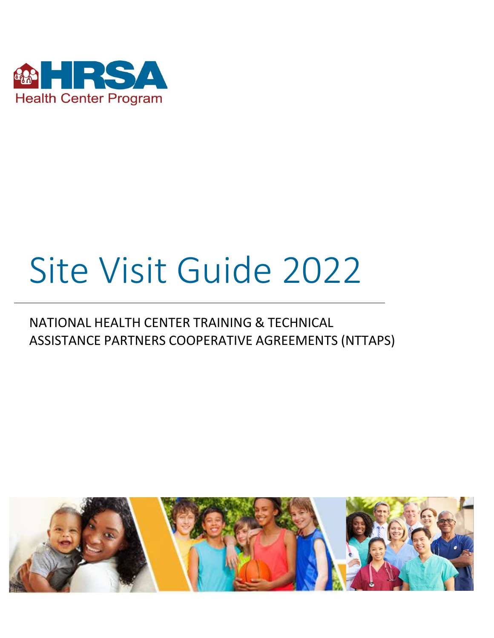

# Site Visit Guide 2022

## NATIONAL HEALTH CENTER TRAINING & TECHNICAL ASSISTANCE PARTNERS COOPERATIVE AGREEMENTS (NTTAPS)

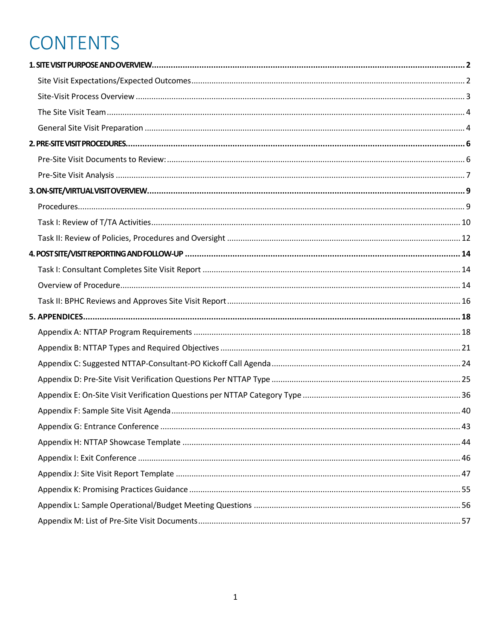## **CONTENTS**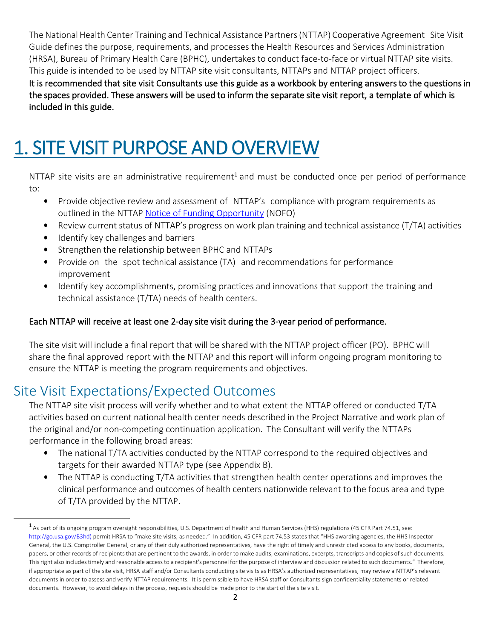The National Health Center Training and Technical Assistance Partners(NTTAP) Cooperative Agreement Site Visit Guide defines the purpose, requirements, and processes the Health Resources and Services Administration (HRSA), Bureau of Primary Health Care (BPHC), undertakes to conduct face-to-face or virtual NTTAP site visits. This guide is intended to be used by NTTAP site visit consultants, NTTAPs and NTTAP project officers.

It is recommended that site visit Consultants use this guide as a workbook by entering answers to the questions in the spaces provided. These answers will be used to inform the separate site visit report, a template of which is included in this guide.

## <span id="page-2-0"></span>1. SITE VISIT PURPOSE AND OVERVIEW

NTTAP site visits are an administrative requirement<sup>1</sup> and must be conducted once per period of performance to:

- Provide objective review and assessment of NTTAP's compliance with program requirements as outlined in the NTTAP [Notice of Funding Opportunity](https://grants.hrsa.gov/2010/Web2External/Interface/Common/EHBDisplayAttachment.aspx?dm_rtc=16&dm_attid=38f67347-fa62-4e62-94a0-1bedaa72e28a) (NOFO)
- Review current status of NTTAP's progress on work plan training and technical assistance (T/TA) activities
- Identify key challenges and barriers
- Strengthen the relationship between BPHC and NTTAPs
- Provide on the spot technical assistance (TA) and recommendations for performance improvement
- Identify key accomplishments, promising practices and innovations that support the training and technical assistance (T/TA) needs of health centers.

#### Each NTTAP will receive at least one 2-day site visit during the 3-year period of performance.

The site visit will include a final report that will be shared with the NTTAP project officer (PO). BPHC will share the final approved report with the NTTAP and this report will inform ongoing program monitoring to ensure the NTTAP is meeting the program requirements and objectives.

## <span id="page-2-1"></span>Site Visit Expectations/Expected Outcomes

The NTTAP site visit process will verify whether and to what extent the NTTAP offered or conducted T/TA activities based on current national health center needs described in the Project Narrative and work plan of the original and/or non-competing continuation application. The Consultant will verify the NTTAPs performance in the following broad areas:

- The national T/TA activities conducted by the NTTAP correspond to the required objectives and targets for their awarded NTTAP type (see Appendix B).
- The NTTAP is conducting T/TA activities that strengthen health center operations and improves the clinical performance and outcomes of health centers nationwide relevant to the focus area and type of T/TA provided by the NTTAP.

<sup>1</sup>As part of its ongoing program oversight responsibilities, U.S. Department of Health and Human Services (HHS) regulations (45 CFR Part 74.51, see: [http://go.usa.gov/B3hd\)](https://www.ecfr.gov/current/title-45/part-74) permit HRSA to "make site visits, as needed." In addition, 45 CFR part 74.53 states that "HHS awarding agencies, the HHS Inspector General, the U.S. Comptroller General, or any of their duly authorized representatives, have the right of timely and unrestricted access to any books, documents, papers, or other records of recipientsthat are pertinent to the awards, in order to make audits, examinations, excerpts, transcripts and copies of such documents. Thisright also includestimely and reasonable accessto a recipient's personnel for the purpose of interviewand discussion related to such documents." Therefore, if appropriate as part of the site visit, HRSA staff and/or Consultants conducting site visits as HRSA's authorized representatives, may review a NTTAP's relevant documents in order to assess and verify NTTAP requirements. It is permissible to have HRSA staff or Consultants sign confidentiality statements or related documents. However, to avoid delays in the process, requests should be made prior to the start of the site visit.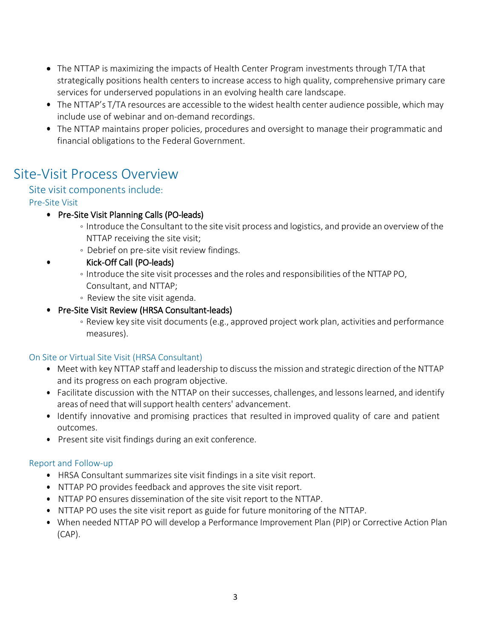- The NTTAP is maximizing the impacts of Health Center Program investments through T/TA that strategically positions health centers to increase access to high quality, comprehensive primary care services for underserved populations in an evolving health care landscape.
- The NTTAP's T/TA resources are accessible to the widest health center audience possible, which may include use of webinar and on-demand recordings.
- The NTTAP maintains proper policies, procedures and oversight to manage their programmatic and financial obligations to the Federal Government.

### <span id="page-3-0"></span>Site-Visit Process Overview

#### Site visit components include:

#### Pre-Site Visit

- Pre-Site Visit Planning Calls (PO-leads)
	- Introduce the Consultant to the site visit process and logistics, and provide an overview of the NTTAP receiving the site visit;
	- Debrief on pre-site visit review findings.
- Kick-Off Call (PO-leads)
	- Introduce the site visit processes and the roles and responsibilities of the NTTAP PO, Consultant, and NTTAP;
	- Review the site visit agenda.

#### • Pre-Site Visit Review (HRSA Consultant-leads)

◦ Review key site visit documents(e.g., approved project work plan, activities and performance measures).

#### On Site or Virtual Site Visit (HRSA Consultant)

- Meet with key NTTAP staff and leadership to discussthe mission and strategic direction of the NTTAP and its progress on each program objective.
- Facilitate discussion with the NTTAP on their successes, challenges, and lessons learned, and identify areas of need that will support health centers' advancement.
- Identify innovative and promising practices that resulted in improved quality of care and patient outcomes.
- Present site visit findings during an exit conference.

#### Report and Follow-up

- HRSA Consultant summarizes site visit findings in a site visit report.
- NTTAP PO provides feedback and approves the site visit report.
- NTTAP PO ensures dissemination of the site visit report to the NTTAP.
- NTTAP PO uses the site visit report as guide for future monitoring of the NTTAP.
- When needed NTTAP PO will develop a Performance Improvement Plan (PIP) or Corrective Action Plan (CAP).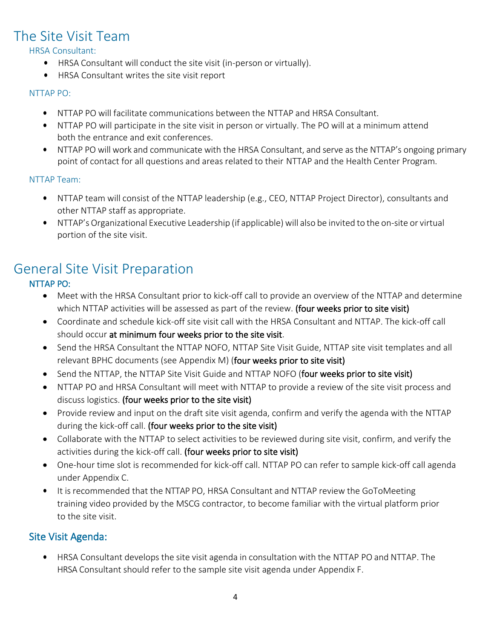### <span id="page-4-0"></span>The Site Visit Team

HRSA Consultant:

- HRSA Consultant will conduct the site visit (in-person or virtually).
- HRSA Consultant writes the site visit report

#### NTTAP PO:

- NTTAP PO will facilitate communications between the NTTAP and HRSA Consultant.
- NTTAP PO will participate in the site visit in person or virtually. The PO will at a minimum attend both the entrance and exit conferences.
- NTTAP PO will work and communicate with the HRSA Consultant, and serve asthe NTTAP's ongoing primary point of contact for all questions and areas related to their NTTAP and the Health Center Program.

NTTAP Team:

- NTTAP team will consist of the NTTAP leadership (e.g., CEO, NTTAP Project Director), consultants and other NTTAP staff as appropriate.
- NTTAP's Organizational Executive Leadership (if applicable) will also be invited to the on-site or virtual portion of the site visit.

## <span id="page-4-1"></span>General Site Visit Preparation<br>
NTTAP PO:

- Meet with the HRSA Consultant prior to kick-off call to provide an overview of the NTTAP and determine which NTTAP activities will be assessed as part of the review. (four weeks prior to site visit)
- Coordinate and schedule kick-off site visit call with the HRSA Consultant and NTTAP. The kick-off call should occur at minimum four weeks prior to the site visit.
- Send the HRSA Consultant the NTTAP NOFO, NTTAP Site Visit Guide, NTTAP site visit templates and all relevant BPHC documents (see Appendix M) (four weeks prior to site visit)
- Send the NTTAP, the NTTAP Site Visit Guide and NTTAP NOFO (four weeks prior to site visit)
- NTTAP PO and HRSA Consultant will meet with NTTAP to provide a review of the site visit process and discuss logistics. (four weeks prior to the site visit)
- Provide review and input on the draft site visit agenda, confirm and verify the agenda with the NTTAP during the kick-off call. (four weeks prior to the site visit)
- Collaborate with the NTTAP to select activities to be reviewed during site visit, confirm, and verify the activities during the kick-off call. (four weeks prior to site visit)
- One-hour time slot is recommended for kick-off call. NTTAP PO can refer to sample kick-off call agenda under Appendix C.
- It is recommended that the NTTAP PO, HRSA Consultant and NTTAP review the GoToMeeting training video provided by the MSCG contractor, to become familiar with the virtual platform prior to the site visit.

#### Site Visit Agenda:

• HRSA Consultant develops the site visit agenda in consultation with the NTTAP PO and NTTAP. The HRSA Consultant should refer to the sample site visit agenda under Appendix F.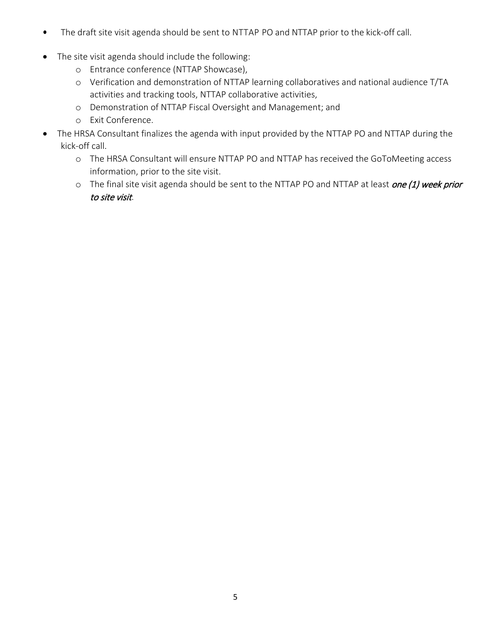- The draft site visit agenda should be sent to NTTAP PO and NTTAP prior to the kick-off call.
- The site visit agenda should include the following:
	- Entrance conference (NTTAP Showcase),
	- Verification and demonstration of NTTAP learning collaboratives and national audience T/TA activities and tracking tools, NTTAP collaborative activities,
	- Demonstration of NTTAP Fiscal Oversight and Management; and
	- Exit Conference.
- The HRSA Consultant finalizes the agenda with input provided by the NTTAP PO and NTTAP during the kick-off call.
	- The HRSA Consultant will ensure NTTAP PO and NTTAP has received the GoToMeeting access information, prior to the site visit.
	- o The final site visit agenda should be sent to the NTTAP PO and NTTAP at least one (1) week prior to site visit.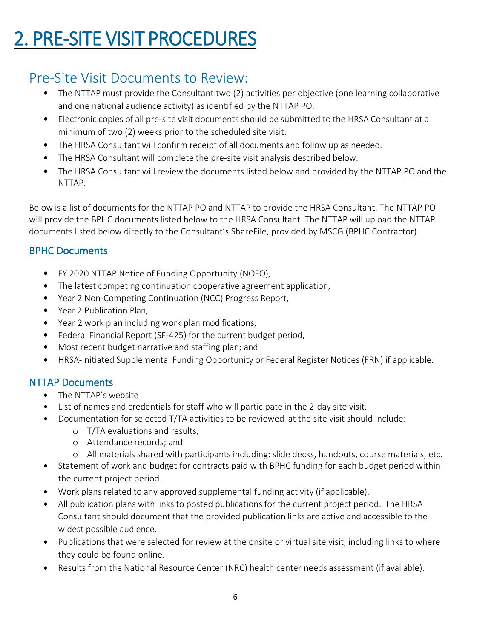## <span id="page-6-0"></span>2. PRE-SITE VISIT PROCEDURES

## <span id="page-6-1"></span>Pre-Site Visit Documents to Review:

- The NTTAP must provide the Consultant two (2) activities per objective (one learning collaborative and one national audience activity) as identified by the NTTAP PO.
- Electronic copies of all pre-site visit documents should be submitted to the HRSA Consultant at a minimum of two (2) weeks prior to the scheduled site visit.
- The HRSA Consultant will confirm receipt of all documents and follow up as needed.
- The HRSA Consultant will complete the pre-site visit analysis described below.
- The HRSA Consultant will review the documents listed below and provided by the NTTAP PO and the NTTAP.

Below is a list of documents for the NTTAP PO and NTTAP to provide the HRSA Consultant. The NTTAP PO will provide the BPHC documents listed below to the HRSA Consultant. The NTTAP will upload the NTTAP documents listed below directly to the Consultant's ShareFile, provided by MSCG (BPHC Contractor).

#### BPHC Documents

- FY 2020 NTTAP Notice of Funding Opportunity (NOFO),
- The latest competing continuation cooperative agreement application,
- Year 2 Non-Competing Continuation (NCC) Progress Report,
- Year 2 Publication Plan,
- Year 2 work plan including work plan modifications,
- Federal Financial Report (SF-425) for the current budget period,
- Most recent budget narrative and staffing plan; and
- HRSA-Initiated Supplemental Funding Opportunity or Federal Register Notices (FRN) if applicable.

#### NTTAP Documents

- The NTTAP's website
- List of names and credentials for staff who will participate in the 2-day site visit.
- Documentation for selected T/TA activities to be reviewed at the site visit should include:
	- T/TA evaluations and results,
	- Attendance records; and
	- All materials shared with participants including: slide decks, handouts, course materials, etc.
- Statement of work and budget for contracts paid with BPHC funding for each budget period within the current project period.
- Work plans related to any approved supplemental funding activity (if applicable).
- All publication plans with links to posted publications for the current project period. The HRSA Consultant should document that the provided publication links are active and accessible to the widest possible audience.
- Publications that were selected for review at the onsite or virtual site visit, including links to where they could be found online.
- Results from the National Resource Center (NRC) health center needs assessment (if available).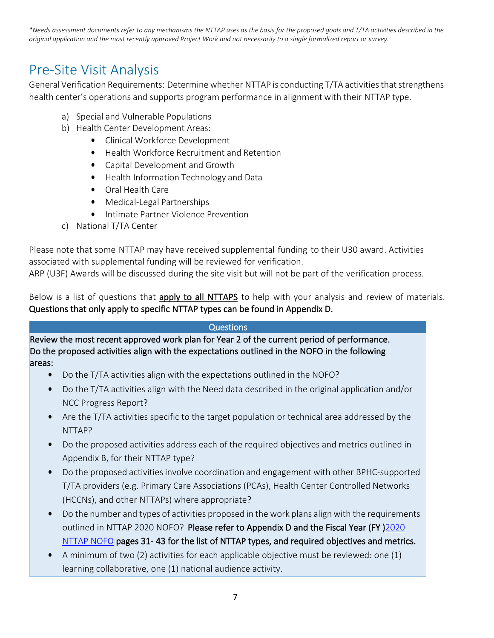*\*Needs assessment documents refer to any mechanisms the NTTAP uses as the basis for the proposed goals and T/TA activities described in the original application and the most recently approved Project Work and not necessarily to a single formalized report or survey.*

### <span id="page-7-0"></span>Pre-Site Visit Analysis

General Verification Requirements: Determine whether NTTAP is conducting T/TA activities that strengthens health center's operations and supports program performance in alignment with their NTTAP type.

- a) Special and Vulnerable Populations
- b) Health Center Development Areas:
	- Clinical Workforce Development
	- Health Workforce Recruitment and Retention
	- Capital Development and Growth
	- Health Information Technology and Data
	- Oral Health Care
	- Medical-Legal Partnerships
	- Intimate Partner Violence Prevention
- c) National T/TA Center

Please note that some NTTAP may have received supplemental funding to their U30 award. Activities associated with supplemental funding will be reviewed for verification.

ARP (U3F) Awards will be discussed during the site visit but will not be part of the verification process.

Below is a list of questions that apply to all NTTAPS to help with your analysis and review of materials. Questions that only apply to specific NTTAP types can be found in Appendix D.

#### Questions

Review the most recent approved work plan for Year 2 of the current period of performance. Do the proposed activities align with the expectations outlined in the NOFO in the following areas:

- Do the T/TA activities align with the expectations outlined in the NOFO?
- Do the T/TA activities align with the Need data described in the original application and/or NCC Progress Report?
- Are the T/TA activities specific to the target population or technical area addressed by the NTTAP?
- Do the proposed activities address each of the required objectives and metrics outlined in Appendix B, for their NTTAP type?
- Do the proposed activities involve coordination and engagement with other BPHC-supported T/TA providers (e.g. Primary Care Associations (PCAs), Health Center Controlled Networks (HCCNs), and other NTTAPs) where appropriate?
- Do the number and types of activities proposed in the work plans align with the requirements outlined in NTTAP 2020 NOFO? Please refer to Appendix D and the Fiscal Year (FY) 2020 [NTTAP NOFO](https://bphc.hrsa.gov/program-opportunities/nttap) pages 31- 43 for the list of NTTAP types, and required objectives and metrics.
- A minimum of two (2) activities for each applicable objective must be reviewed: one (1) learning collaborative, one (1) national audience activity.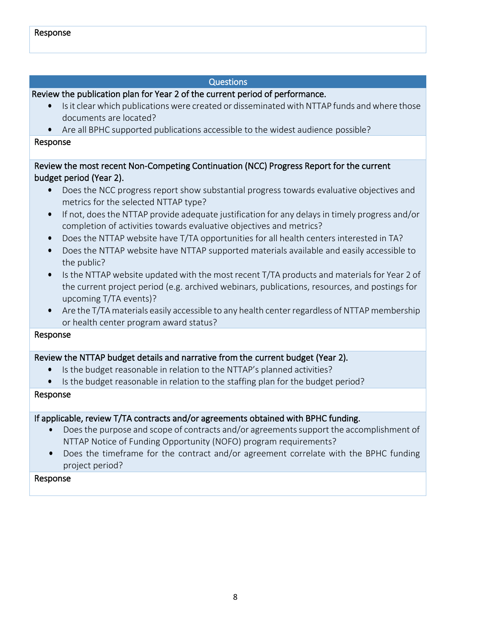#### Questions

Review the publication plan for Year 2 of the current period of performance.

- Is it clear which publications were created or disseminated with NTTAP funds and where those documents are located?
- Are all BPHC supported publications accessible to the widest audience possible?

#### Response

Review the most recent Non-Competing Continuation (NCC) Progress Report for the current budget period (Year 2).

- Does the NCC progress report show substantial progress towards evaluative objectives and metrics for the selected NTTAP type?
- If not, does the NTTAP provide adequate justification for any delays in timely progress and/or completion of activities towards evaluative objectives and metrics?
- Does the NTTAP website have T/TA opportunities for all health centers interested in TA?
- Does the NTTAP website have NTTAP supported materials available and easily accessible to the public?
- Is the NTTAP website updated with the most recent T/TA products and materials for Year 2 of the current project period (e.g. archived webinars, publications, resources, and postings for upcoming T/TA events)?
- Are the T/TA materials easily accessible to any health center regardless of NTTAP membership or health center program award status?

#### Response

#### Review the NTTAP budget details and narrative from the current budget (Year 2).

- Is the budget reasonable in relation to the NTTAP's planned activities?
- Is the budget reasonable in relation to the staffing plan for the budget period?

#### Response

#### If applicable, review T/TA contracts and/or agreements obtained with BPHC funding.

- Does the purpose and scope of contracts and/or agreements support the accomplishment of NTTAP Notice of Funding Opportunity (NOFO) program requirements?
- Does the timeframe for the contract and/or agreement correlate with the BPHC funding project period?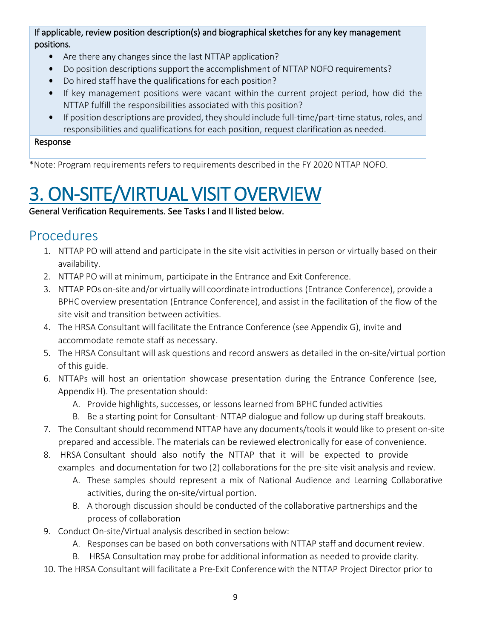#### If applicable, review position description(s) and biographical sketches for any key management positions.

- Are there any changes since the last NTTAP application?
- Do position descriptions support the accomplishment of NTTAP NOFO requirements?
- Do hired staff have the qualifications for each position?
- If key management positions were vacant within the current project period, how did the NTTAP fulfill the responsibilities associated with this position?
- If position descriptions are provided, they should include full-time/part-time status, roles, and responsibilities and qualifications for each position, request clarification as needed.

#### Response

\*Note: Program requirements refers to requirements described in the FY 2020 NTTAP NOFO.

# <span id="page-9-0"></span>**3. ON-SITE/VIRTUAL VISIT OVERVIEW**<br>General Verification Requirements. See Tasks I and II listed below.

## <span id="page-9-1"></span>Procedures

- 1. NTTAP PO will attend and participate in the site visit activities in person or virtually based on their availability.
- 2. NTTAP PO will at minimum, participate in the Entrance and Exit Conference.
- 3. NTTAP POs on-site and/or virtuallywill coordinate introductions (Entrance Conference), provide a BPHC overview presentation (Entrance Conference), and assist in the facilitation of the flow of the site visit and transition between activities.
- 4. The HRSA Consultant will facilitate the Entrance Conference (see Appendix G), invite and accommodate remote staff as necessary.
- 5. The HRSA Consultant will ask questions and record answers as detailed in the on-site/virtual portion of this guide.
- 6. NTTAPs will host an orientation showcase presentation during the Entrance Conference (see, Appendix H). The presentation should:
	- A. Provide highlights, successes, or lessons learned from BPHC funded activities
	- B. Be a starting point for Consultant- NTTAP dialogue and follow up during staff breakouts.
- 7. The Consultant should recommend NTTAP have any documents/tools it would like to present on-site prepared and accessible. The materials can be reviewed electronically for ease of convenience.
- 8. HRSA Consultant should also notify the NTTAP that it will be expected to provide examples and documentation for two (2) collaborations for the pre-site visit analysis and review.
	- A. These samples should represent a mix of National Audience and Learning Collaborative activities, during the on-site/virtual portion.
	- B. A thorough discussion should be conducted of the collaborative partnerships and the process of collaboration
- 9. Conduct On-site/Virtual analysis described in section below:
	- A. Responses can be based on both conversations with NTTAP staff and document review.
	- B. HRSA Consultation may probe for additional information as needed to provide clarity.
- 10. The HRSA Consultant will facilitate a Pre-Exit Conference with the NTTAP Project Director prior to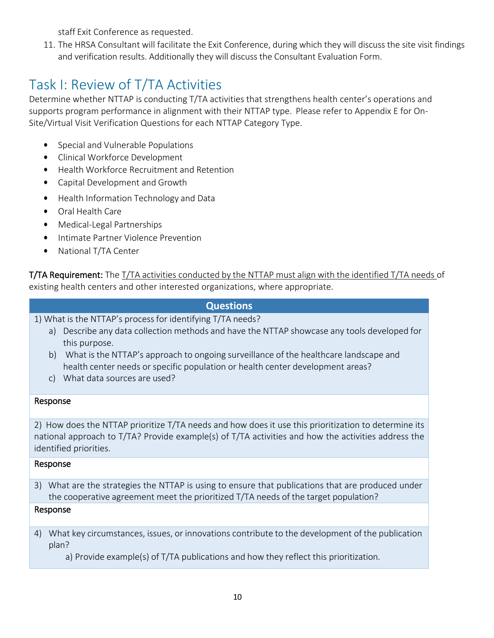staff Exit Conference as requested.

11. The HRSA Consultant will facilitate the Exit Conference, during which they will discuss the site visit findings and verification results. Additionally they will discuss the Consultant Evaluation Form.

## <span id="page-10-0"></span>Task I: Review of T/TA Activities

Determine whether NTTAP is conducting T/TA activities that strengthens health center's operations and supports program performance in alignment with their NTTAP type. Please refer to Appendix E for On-Site/Virtual Visit Verification Questions for each NTTAP Category Type.

- Special and Vulnerable Populations
- Clinical Workforce Development
- Health Workforce Recruitment and Retention
- Capital Development and Growth
- Health Information Technology and Data
- Oral Health Care
- Medical-Legal Partnerships
- Intimate Partner Violence Prevention
- National T/TA Center

T/TA Requirement: The T/TA activities conducted by the NTTAP must align with the identified T/TA needs of existing health centers and other interested organizations, where appropriate.

#### **Questions**

1) What is the NTTAP's process for identifying T/TA needs?

- a) Describe any data collection methods and have the NTTAP showcase any tools developed for this purpose.
- b) What is the NTTAP's approach to ongoing surveillance of the healthcare landscape and health center needs or specific population or health center development areas?
- c) What data sources are used?

#### Response

2) How does the NTTAP prioritize T/TA needs and how does it use this prioritization to determine its national approach to T/TA? Provide example(s) of T/TA activities and how the activities address the identified priorities.

#### Response

3) What are the strategies the NTTAP is using to ensure that publications that are produced under the cooperative agreement meet the prioritized T/TA needs of the target population?

#### Response

4) What key circumstances, issues, or innovations contribute to the development of the publication plan?

a) Provide example(s) of T/TA publications and how they reflect this prioritization.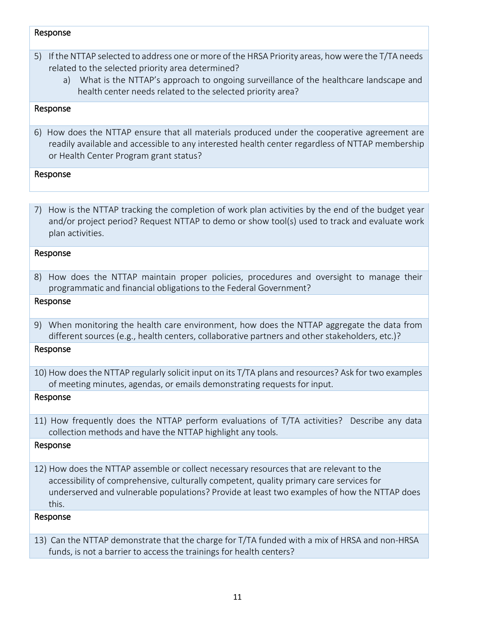#### Response

- 5) If the NTTAP selected to address one or more of the HRSA Priority areas, howwere the T/TA needs related to the selected priority area determined?
	- a) What is the NTTAP's approach to ongoing surveillance of the healthcare landscape and health center needs related to the selected priority area?

#### Response

6) How does the NTTAP ensure that all materials produced under the cooperative agreement are readily available and accessible to any interested health center regardless of NTTAP membership or Health Center Program grant status?

#### Response

7) How is the NTTAP tracking the completion of work plan activities by the end of the budget year and/or project period? Request NTTAP to demo or show tool(s) used to track and evaluate work plan activities.

#### Response

8) How does the NTTAP maintain proper policies, procedures and oversight to manage their programmatic and financial obligations to the Federal Government?

#### Response

9) When monitoring the health care environment, how does the NTTAP aggregate the data from different sources (e.g., health centers, collaborative partners and other stakeholders, etc.)?

#### Response

10) How does the NTTAP regularly solicit input on its T/TA plans and resources? Ask for two examples of meeting minutes, agendas, or emails demonstrating requests for input.

#### Response

11) How frequently does the NTTAP perform evaluations of T/TA activities? Describe any data collection methods and have the NTTAP highlight any tools.

#### Response

12) How does the NTTAP assemble or collect necessary resources that are relevant to the accessibility of comprehensive, culturally competent, quality primary care services for underserved and vulnerable populations? Provide at least two examples of how the NTTAP does this.

#### Response

13) Can the NTTAP demonstrate that the charge for T/TA funded with a mix of HRSA and non-HRSA funds, is not a barrier to access the trainings for health centers?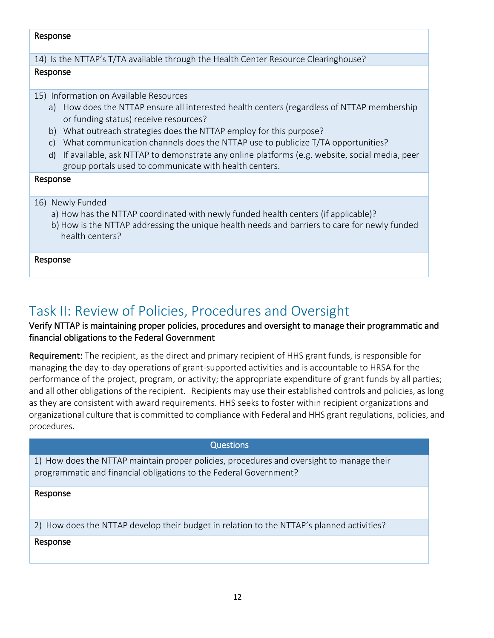#### Response

14) Is the NTTAP's T/TA available through the Health Center Resource Clearinghouse?

#### Response

15) Information on Available Resources

- a) How does the NTTAP ensure all interested health centers(regardless of NTTAP membership or funding status) receive resources?
- b) What outreach strategies does the NTTAP employ for this purpose?
- c) What communication channels does the NTTAP use to publicize T/TA opportunities?
- d) If available, ask NTTAP to demonstrate any online platforms (e.g. website, social media, peer group portals used to communicate with health centers.

#### Response

- 16) Newly Funded
	- a) How has the NTTAP coordinated with newly funded health centers (if applicable)?
	- b) How is the NTTAP addressing the unique health needs and barriers to care for newly funded health centers?

#### Response

## <span id="page-12-0"></span>Task II: Review of Policies, Procedures and Oversight

#### Verify NTTAP is maintaining proper policies, procedures and oversight to manage their programmatic and financial obligations to the Federal Government

Requirement: The recipient, as the direct and primary recipient of HHS grant funds, is responsible for managing the day-to-day operations of grant-supported activities and is accountable to HRSA for the performance of the project, program, or activity; the appropriate expenditure of grant funds by all parties; and all other obligations of the recipient. Recipients may use their established controls and policies, as long as they are consistent with award requirements. HHS seeks to foster within recipient organizations and organizational culture that is committed to compliance with Federal and HHS grant regulations, policies, and procedures.

#### **Questions**

1) How does the NTTAP maintain proper policies, procedures and oversight to manage their programmatic and financial obligations to the Federal Government?

#### Response

2) How does the NTTAP develop their budget in relation to the NTTAP's planned activities?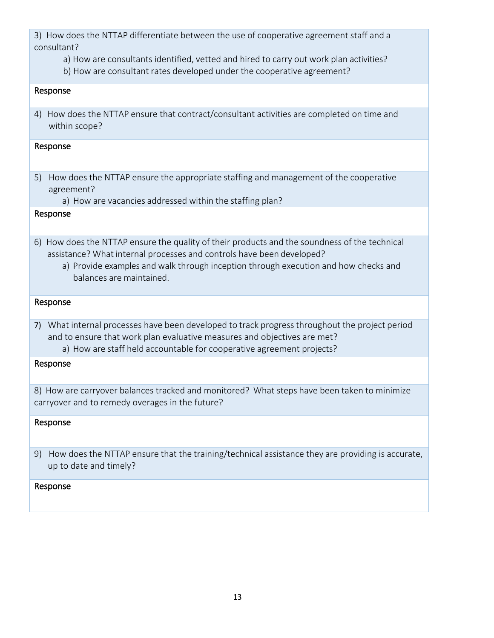3) How does the NTTAP differentiate between the use of cooperative agreement staff and a consultant?

- a) How are consultants identified, vetted and hired to carry out work plan activities?
- b) How are consultant rates developed under the cooperative agreement?

#### Response

4) How does the NTTAP ensure that contract/consultant activities are completed on time and within scope?

#### Response

5) How does the NTTAP ensure the appropriate staffing and management of the cooperative agreement?

a) How are vacancies addressed within the staffing plan?

#### Response

- 6) How does the NTTAP ensure the quality of their products and the soundness of the technical assistance? What internal processes and controls have been developed?
	- a) Provide examples and walk through inception through execution and how checks and balances are maintained.

#### Response

7) What internal processes have been developed to track progressthroughout the project period and to ensure that work plan evaluative measures and objectives are met? a) How are staff held accountable for cooperative agreement projects?

#### Response

8) How are carryover balances tracked and monitored? What steps have been taken to minimize carryover and to remedy overages in the future?

#### Response

9) How does the NTTAP ensure that the training/technical assistance they are providing is accurate, up to date and timely?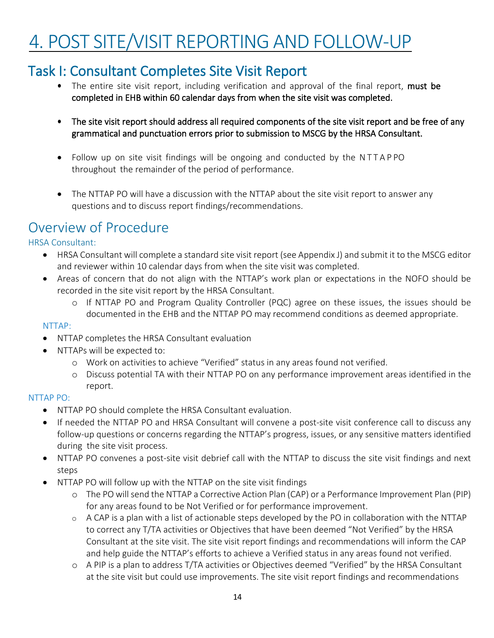## <span id="page-14-0"></span>4. POST SITE/VISIT REPORTING AND FOLLOW-UP

## <span id="page-14-1"></span>Task I: Consultant Completes Site Visit Report

- The entire site visit report, including verification and approval of the final report, must be completed in EHB within 60 calendar days from when the site visit was completed.
- The site visit report should address all required components of the site visit report and be free of any grammatical and punctuation errors prior to submission to MSCG by the HRSA Consultant.
- Follow up on site visit findings will be ongoing and conducted by the NTTAP PO throughout the remainder of the period of performance.
- The NTTAP PO will have a discussion with the NTTAP about the site visit report to answer any questions and to discuss report findings/recommendations.

### <span id="page-14-2"></span>Overview of Procedure

#### HRSA Consultant:

- HRSA Consultant will complete a standard site visit report (see Appendix J) and submit it to the MSCG editor and reviewer within 10 calendar days from when the site visit was completed.
- Areas of concern that do not align with the NTTAP's work plan or expectations in the NOFO should be recorded in the site visit report by the HRSA Consultant.
	- If NTTAP PO and Program Quality Controller (PQC) agree on these issues, the issues should be documented in the EHB and the NTTAP PO may recommend conditions as deemed appropriate.

#### NTTAP:

- NTTAP completes the HRSA Consultant evaluation
- NTTAPs will be expected to:
	- Work on activities to achieve "Verified" status in any areas found not verified.
	- Discuss potential TA with their NTTAP PO on any performance improvement areas identified in the report.

#### NTTAP PO:

- NTTAP PO should complete the HRSA Consultant evaluation.
- If needed the NTTAP PO and HRSA Consultant will convene a post-site visit conference call to discuss any follow-up questions or concerns regarding the NTTAP's progress, issues, or any sensitive matters identified during the site visit process.
- NTTAP PO convenes a post-site visit debrief call with the NTTAP to discuss the site visit findings and next steps
- NTTAP PO will follow up with the NTTAP on the site visit findings
	- The PO will send the NTTAP a Corrective Action Plan (CAP) or a Performance Improvement Plan (PIP) for any areas found to be Not Verified or for performance improvement.
	- A CAP is a plan with a list of actionable steps developed by the PO in collaboration with the NTTAP to correct any T/TA activities or Objectives that have been deemed "Not Verified" by the HRSA Consultant at the site visit. The site visit report findings and recommendations will inform the CAP and help guide the NTTAP's efforts to achieve a Verified status in any areas found not verified.
	- A PIP is a plan to address T/TA activities or Objectives deemed "Verified" by the HRSA Consultant at the site visit but could use improvements. The site visit report findings and recommendations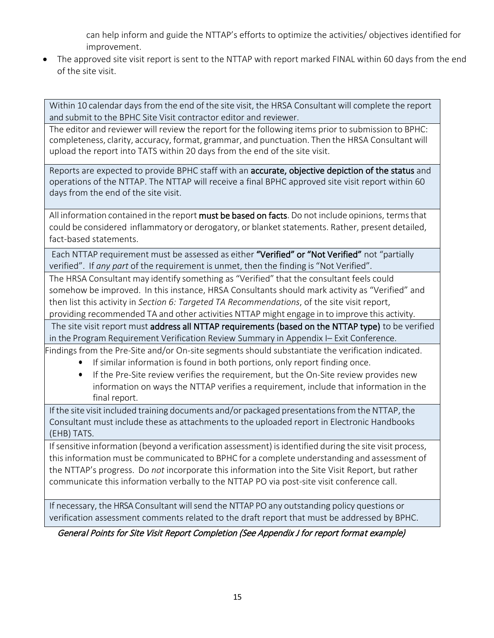can help inform and guide the NTTAP's efforts to optimize the activities/ objectives identified for improvement.

The approved site visit report is sent to the NTTAP with report marked FINAL within 60 days from the end of the site visit.

Within 10 calendar days from the end of the site visit, the HRSA Consultant will complete the report and submit to the BPHC Site Visit contractor editor and reviewer.

The editor and reviewer will review the report for the following items prior to submission to BPHC: completeness, clarity, accuracy, format, grammar, and punctuation. Then the HRSA Consultantwill upload the report into TATS within 20 days from the end of the site visit.

Reports are expected to provide BPHC staff with an accurate, objective depiction of the status and operations of the NTTAP. The NTTAP will receive a final BPHC approved site visit report within 60 days from the end of the site visit.

All information contained in the report must be based on facts. Do not include opinions, terms that could be considered inflammatory or derogatory, or blanket statements. Rather, present detailed, fact-based statements.

Each NTTAP requirement must be assessed as either "Verified" or "Not Verified" not "partially verified". If *any part* of the requirement is unmet, then the finding is "Not Verified".

The HRSA Consultant may identify something as "Verified" that the consultant feels could somehow be improved. In this instance, HRSA Consultants should mark activity as "Verified" and then list this activity in *Section 6: Targeted TA Recommendations*, of the site visit report, providing recommended TA and other activities NTTAP might engage in to improve this activity.

The site visit report must address all NTTAP requirements (based on the NTTAP type) to be verified in the Program Requirement Verification Review Summary in Appendix I– Exit Conference.

Findings from the Pre-Site and/or On-site segments should substantiate the verification indicated.

- If similar information is found in both portions, only report finding once.
- If the Pre-Site review verifies the requirement, but the On-Site review provides new information on ways the NTTAP verifies a requirement, include that information in the final report.

If the site visit included training documents and/or packaged presentations from the NTTAP, the Consultant must include these as attachments to the uploaded report in Electronic Handbooks (EHB) TATS.

If sensitive information (beyond a verification assessment) is identified during the site visit process, this information must be communicated to BPHC for a complete understanding and assessment of the NTTAP's progress. Do *not* incorporate this information into the Site Visit Report, but rather communicate this information verbally to the NTTAP PO via post-site visit conference call.

If necessary, the HRSA Consultant will send the NTTAP PO any outstanding policy questions or verification assessment comments related to the draft report that must be addressed by BPHC.

General Points for Site Visit Report Completion (See Appendix J for report format example)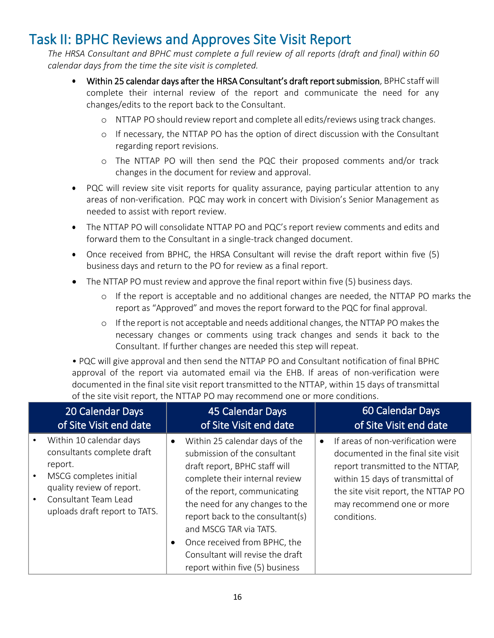## <span id="page-16-0"></span>Task II: BPHC Reviews and Approves Site Visit Report

*The HRSA Consultant and BPHC must complete a full review of all reports (draft and final) within 60 calendar days from the time the site visit is completed.*

- Within 25 calendar days after the HRSA Consultant's draft report submission, BPHC staff will complete their internal review of the report and communicate the need for any changes/edits to the report back to the Consultant.
	- NTTAP PO should review report and complete all edits/reviews using track changes.
	- If necessary, the NTTAP PO has the option of direct discussion with the Consultant regarding report revisions.
	- The NTTAP PO will then send the PQC their proposed comments and/or track changes in the document for review and approval.
- PQC will review site visit reports for quality assurance, paying particular attention to any areas of non-verification. PQC may work in concert with Division's Senior Management as needed to assist with report review.
- The NTTAP PO will consolidate NTTAP PO and PQC's report review comments and edits and forward them to the Consultant in a single-track changed document.
- Once received from BPHC, the HRSA Consultant will revise the draft report within five (5) business days and return to the PO for review as a final report.
- The NTTAP PO must review and approve the final report within five (5) business days.
	- If the report is acceptable and no additional changes are needed, the NTTAP PO marks the report as "Approved" and moves the report forward to the PQC for final approval.
	- If the report is not acceptable and needs additional changes, the NTTAP PO makesthe necessary changes or comments using track changes and sends it back to the Consultant. If further changes are needed this step will repeat.

• PQC will give approval and then send the NTTAP PO and Consultant notification of final BPHC approval of the report via automated email via the EHB. If areas of non-verification were documented in the final site visit report transmitted to the NTTAP, within 15 days of transmittal of the site visit report, the NTTAP PO may recommend one or more conditions.

|           | 20 Calendar Days<br>of Site Visit end date                                                                                                                                       |                        | 45 Calendar Days<br>of Site Visit end date                                                                                                                                                                                                                                                                                                                                |           | 60 Calendar Days<br>of Site Visit end date                                                                                                                                                                                         |
|-----------|----------------------------------------------------------------------------------------------------------------------------------------------------------------------------------|------------------------|---------------------------------------------------------------------------------------------------------------------------------------------------------------------------------------------------------------------------------------------------------------------------------------------------------------------------------------------------------------------------|-----------|------------------------------------------------------------------------------------------------------------------------------------------------------------------------------------------------------------------------------------|
| $\bullet$ | Within 10 calendar days<br>consultants complete draft<br>report.<br>MSCG completes initial<br>quality review of report.<br>Consultant Team Lead<br>uploads draft report to TATS. | $\bullet$<br>$\bullet$ | Within 25 calendar days of the<br>submission of the consultant<br>draft report, BPHC staff will<br>complete their internal review<br>of the report, communicating<br>the need for any changes to the<br>report back to the consultant(s)<br>and MSCG TAR via TATS.<br>Once received from BPHC, the<br>Consultant will revise the draft<br>report within five (5) business | $\bullet$ | If areas of non-verification were<br>documented in the final site visit<br>report transmitted to the NTTAP,<br>within 15 days of transmittal of<br>the site visit report, the NTTAP PO<br>may recommend one or more<br>conditions. |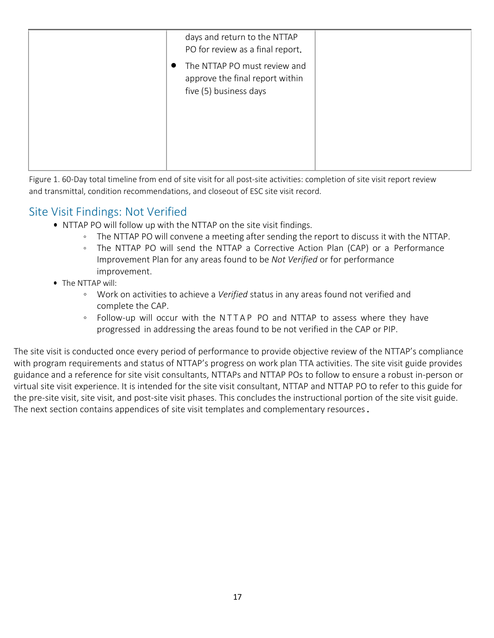| days and return to the NTTAP<br>PO for review as a final report.                                       |
|--------------------------------------------------------------------------------------------------------|
| The NTTAP PO must review and<br>$\bullet$<br>approve the final report within<br>five (5) business days |

Figure 1. 60-Day total timeline from end of site visit for all post-site activities: completion of site visit report review and transmittal, condition recommendations, and closeout of ESC site visit record.

#### Site Visit Findings: Not Verified

- NTTAP PO will follow up with the NTTAP on the site visit findings.
	- The NTTAP PO will convene a meeting after sending the report to discuss it with the NTTAP.
	- The NTTAP PO will send the NTTAP a Corrective Action Plan (CAP) or a Performance Improvement Plan for any areas found to be *Not Verified* or for performance improvement.
- The NTTAP will:
	- Work on activities to achieve a *Verified* status in any areas found not verified and complete the CAP.
	- Follow-up will occur with the NTTAP PO and NTTAP to assess where they have progressed in addressing the areas found to be not verified in the CAP or PIP.

The site visit is conducted once every period of performance to provide objective review of the NTTAP's compliance with program requirements and status of NTTAP's progress on work plan TTA activities. The site visit guide provides guidance and a reference for site visit consultants, NTTAPs and NTTAP POs to follow to ensure a robust in-person or virtual site visit experience. It is intended for the site visit consultant, NTTAP and NTTAP PO to refer to this guide for the pre-site visit, site visit, and post-site visit phases. This concludes the instructional portion of the site visit guide. The next section contains appendices of site visit templates and complementary resources.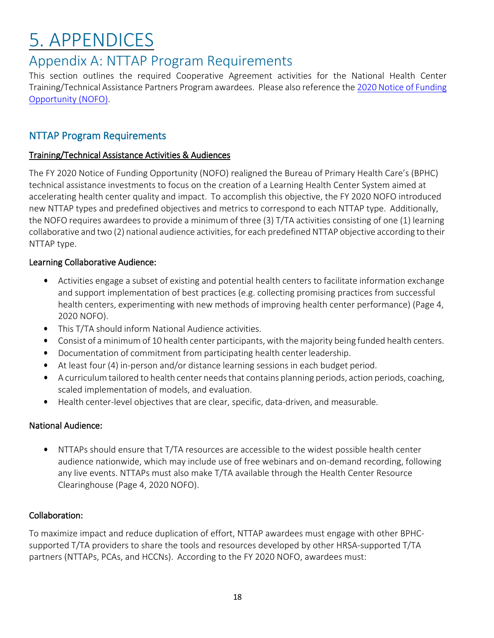## <span id="page-18-0"></span>5. APPENDICES

### <span id="page-18-1"></span>Appendix A: NTTAP Program Requirements

This section outlines the required Cooperative Agreement activities for the National Health Center Training/Technical Assistance Partners Program awardees. Please also reference the 2020 Notice of [Funding](https://bphc.hrsa.gov/program-opportunities/nttap) [Opportunity \(NOFO\).](https://bphc.hrsa.gov/program-opportunities/nttap)

#### NTTAP Program Requirements

#### Training/Technical Assistance Activities & Audiences

The FY 2020 Notice of Funding Opportunity (NOFO) realigned the Bureau of Primary Health Care's (BPHC) technical assistance investments to focus on the creation of a Learning Health Center System aimed at accelerating health center quality and impact. To accomplish this objective, the FY 2020 NOFO introduced new NTTAP types and predefined objectives and metrics to correspond to each NTTAP type. Additionally, the NOFO requires awardeesto provide a minimum of three (3) T/TA activities consisting of one (1) learning collaborative and two (2) national audience activities, for each predefined NTTAP objective according to their NTTAP type.

#### Learning Collaborative Audience:

- Activities engage a subset of existing and potential health centers to facilitate information exchange and support implementation of best practices (e.g. collecting promising practices from successful health centers, experimenting with new methods of improving health center performance) (Page 4, 2020 NOFO).
- This T/TA should inform National Audience activities.
- Consist of a minimum of 10 health center participants, with the majority being funded health centers.
- Documentation of commitment from participating health center leadership.
- At least four (4) in-person and/or distance learning sessions in each budget period.
- A curriculum tailored to health center needsthat contains planning periods, action periods, coaching, scaled implementation of models, and evaluation.
- Health center-level objectives that are clear, specific, data-driven, and measurable.

#### National Audience:

• NTTAPs should ensure that T/TA resources are accessible to the widest possible health center audience nationwide, which may include use of free webinars and on-demand recording, following any live events. NTTAPs must also make T/TA available through the Health Center Resource Clearinghouse (Page 4, 2020 NOFO).

#### Collaboration:

To maximize impact and reduce duplication of effort, NTTAP awardees must engage with other BPHCsupported T/TA providers to share the tools and resources developed by other HRSA-supported T/TA partners (NTTAPs, PCAs, and HCCNs). According to the FY 2020 NOFO, awardees must: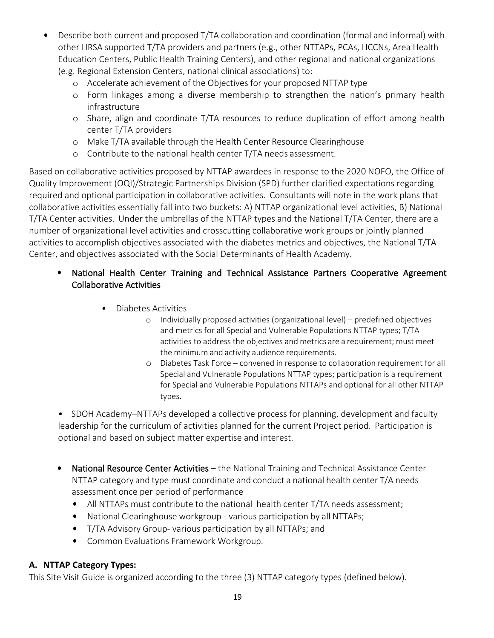- Describe both current and proposed T/TA collaboration and coordination (formal and informal) with other HRSA supported T/TA providers and partners (e.g., other NTTAPs, PCAs, HCCNs, Area Health Education Centers, Public Health Training Centers), and other regional and national organizations (e.g. Regional Extension Centers, national clinical associations) to:
	- Accelerate achievement of the Objectives for your proposed NTTAP type
	- Form linkages among a diverse membership to strengthen the nation's primary health infrastructure
	- Share, align and coordinate T/TA resources to reduce duplication of effort among health center T/TA providers
	- Make T/TA available through the Health Center Resource Clearinghouse
	- Contribute to the national health center T/TA needs assessment.

Based on collaborative activities proposed by NTTAP awardees in response to the 2020 NOFO, the Office of Quality Improvement (OQI)/Strategic Partnerships Division (SPD) further clarified expectations regarding required and optional participation in collaborative activities. Consultants will note in the work plans that collaborative activities essentially fall into two buckets: A) NTTAP organizational level activities, B) National T/TA Center activities. Under the umbrellas of the NTTAP types and the National T/TA Center, there are a number of organizational level activities and crosscutting collaborative work groups or jointly planned activities to accomplish objectives associated with the diabetes metrics and objectives, the National T/TA Center, and objectives associated with the Social Determinants of Health Academy.

#### • National Health Center Training and Technical Assistance Partners Cooperative Agreement Collaborative Activities

- Diabetes Activities
	- Individually proposed activities (organizational level) predefined objectives and metrics for all Special and Vulnerable Populations NTTAP types; T/TA activities to address the objectives and metrics are a requirement; must meet the minimum and activity audience requirements.
	- Diabetes Task Force convened in response to collaboration requirement for all Special and Vulnerable Populations NTTAP types; participation is a requirement for Special and Vulnerable Populations NTTAPs and optional for all other NTTAP types.

• SDOH Academy–NTTAPs developed a collective process for planning, development and faculty leadership for the curriculum of activities planned for the current Project period. Participation is optional and based on subject matter expertise and interest.

- National Resource Center Activities the National Training and Technical Assistance Center NTTAP category and type must coordinate and conduct a national health center T/A needs assessment once per period of performance
	- All NTTAPs must contribute to the national health center T/TA needs assessment;
	- National Clearinghouse workgroup various participation by all NTTAPs;
	- T/TA Advisory Group- various participation by all NTTAPs; and
	- Common Evaluations Framework Workgroup.

#### **A. NTTAP Category Types:**

This Site Visit Guide is organized according to the three (3) NTTAP category types (defined below).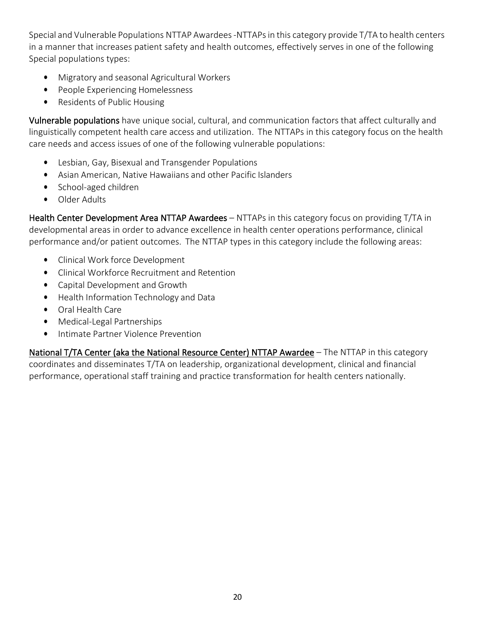Special and Vulnerable Populations NTTAP Awardees -NTTAPsin this category provide T/TA to health centers in a manner that increases patient safety and health outcomes, effectively serves in one of the following Special populations types:

- Migratory and seasonal Agricultural Workers
- People Experiencing Homelessness
- Residents of Public Housing

Vulnerable populations have unique social, cultural, and communication factors that affect culturally and linguistically competent health care access and utilization. The NTTAPs in this category focus on the health care needs and access issues of one of the following vulnerable populations:

- Lesbian, Gay, Bisexual and Transgender Populations
- Asian American, Native Hawaiians and other Pacific Islanders
- School-aged children
- Older Adults

Health Center Development Area NTTAP Awardees - NTTAPs in this category focus on providing T/TA in developmental areas in order to advance excellence in health center operations performance, clinical performance and/or patient outcomes. The NTTAP types in this category include the following areas:

- Clinical Work force Development
- Clinical Workforce Recruitment and Retention
- Capital Development and Growth
- Health Information Technology and Data
- Oral Health Care
- Medical-Legal Partnerships
- Intimate Partner Violence Prevention

National T/TA Center (aka the National Resource Center) NTTAP Awardee – The NTTAP in this category coordinates and disseminates T/TA on leadership, organizational development, clinical and financial performance, operational staff training and practice transformation for health centers nationally.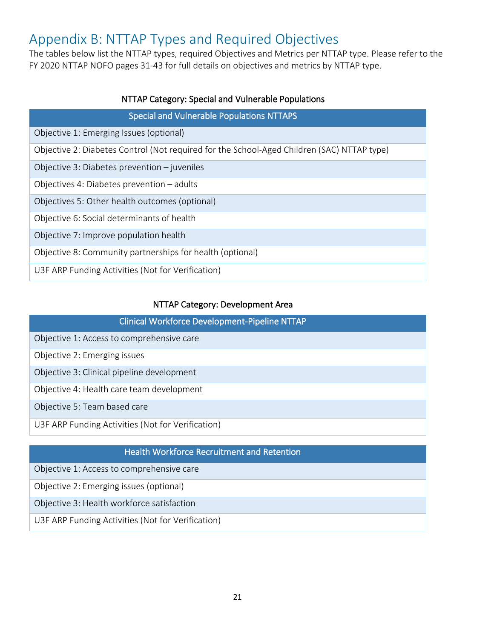## <span id="page-21-0"></span>Appendix B: NTTAP Types and Required Objectives

The tables below list the NTTAP types, required Objectives and Metrics per NTTAP type. Please refer to the FY 2020 NTTAP NOFO pages 31-43 for full details on objectives and metrics by NTTAP type.

| NTTAP Category: Special and Vulnerable Populations                                         |  |  |
|--------------------------------------------------------------------------------------------|--|--|
| <b>Special and Vulnerable Populations NTTAPS</b>                                           |  |  |
| Objective 1: Emerging Issues (optional)                                                    |  |  |
| Objective 2: Diabetes Control (Not required for the School-Aged Children (SAC) NTTAP type) |  |  |
| Objective 3: Diabetes prevention $-$ juveniles                                             |  |  |
| Objectives 4: Diabetes prevention – adults                                                 |  |  |
| Objectives 5: Other health outcomes (optional)                                             |  |  |
| Objective 6: Social determinants of health                                                 |  |  |
| Objective 7: Improve population health                                                     |  |  |
| Objective 8: Community partnerships for health (optional)                                  |  |  |
| U3F ARP Funding Activities (Not for Verification)                                          |  |  |

#### NTTAP Category: Development Area

| Clinical Workforce Development-Pipeline NTTAP |  |
|-----------------------------------------------|--|
| Objective 1: Access to comprehensive care     |  |

Objective 2: Emerging issues

Objective 3: Clinical pipeline development

Objective 4: Health care team development

Objective 5: Team based care

U3F ARP Funding Activities (Not for Verification)

#### Health Workforce Recruitment and Retention

Objective 1: Access to comprehensive care

Objective 2: Emerging issues (optional)

Objective 3: Health workforce satisfaction

U3F ARP Funding Activities (Not for Verification)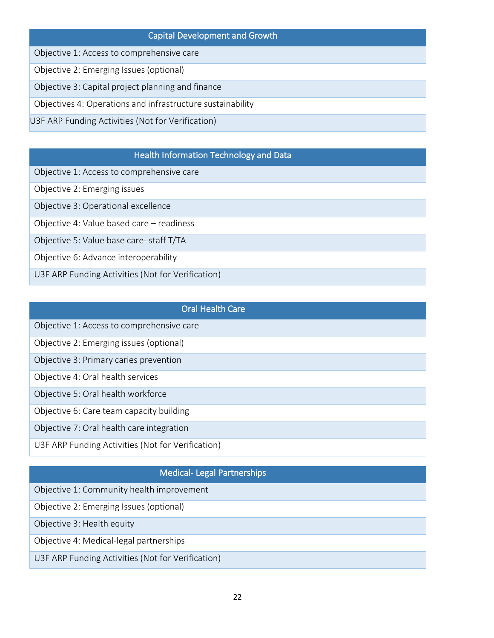## Capital Development and Growth Objective 1: Access to comprehensive care Objective 2: Emerging Issues (optional) Objective 3: Capital project planning and finance Objectives 4: Operations and infrastructure sustainability U3F ARP Funding Activities (Not for Verification)

#### Health Information Technology and Data

Objective 1: Access to comprehensive care

Objective 2: Emerging issues

Objective 3: Operational excellence

Objective 4: Value based care – readiness

Objective 5: Value base care- staff T/TA

Objective 6: Advance interoperability

U3F ARP Funding Activities (Not for Verification)

#### Oral Health Care

Objective 1: Access to comprehensive care

Objective 2: Emerging issues (optional)

Objective 3: Primary caries prevention

Objective 4: Oral health services

Objective 5: Oral health workforce

Objective 6: Care team capacity building

Objective 7: Oral health care integration

U3F ARP Funding Activities (Not for Verification)

#### Medical- Legal Partnerships

Objective 1: Community health improvement

Objective 2: Emerging Issues (optional)

Objective 3: Health equity

Objective 4: Medical-legal partnerships

U3F ARP Funding Activities (Not for Verification)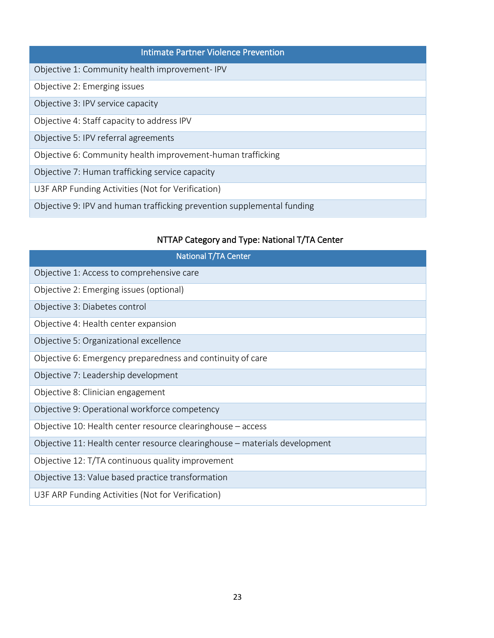| <b>Intimate Partner Violence Prevention</b>                            |
|------------------------------------------------------------------------|
| Objective 1: Community health improvement-IPV                          |
| Objective 2: Emerging issues                                           |
| Objective 3: IPV service capacity                                      |
| Objective 4: Staff capacity to address IPV                             |
| Objective 5: IPV referral agreements                                   |
| Objective 6: Community health improvement-human trafficking            |
| Objective 7: Human trafficking service capacity                        |
| U3F ARP Funding Activities (Not for Verification)                      |
| Objective 9: IPV and human trafficking prevention supplemental funding |

#### NTTAP Category and Type: National T/TA Center

| National T/TA Center                                                       |
|----------------------------------------------------------------------------|
| Objective 1: Access to comprehensive care                                  |
| Objective 2: Emerging issues (optional)                                    |
| Objective 3: Diabetes control                                              |
| Objective 4: Health center expansion                                       |
| Objective 5: Organizational excellence                                     |
| Objective 6: Emergency preparedness and continuity of care                 |
| Objective 7: Leadership development                                        |
| Objective 8: Clinician engagement                                          |
| Objective 9: Operational workforce competency                              |
| Objective 10: Health center resource clearinghouse – access                |
| Objective 11: Health center resource clearinghouse - materials development |
| Objective 12: T/TA continuous quality improvement                          |
| Objective 13: Value based practice transformation                          |
| U3F ARP Funding Activities (Not for Verification)                          |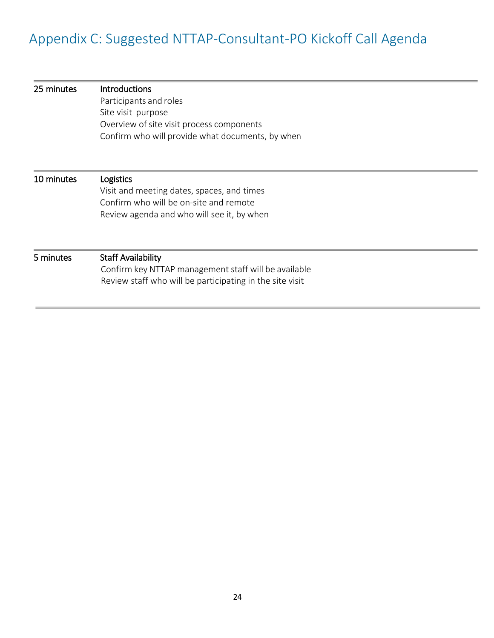## <span id="page-24-0"></span>Appendix C: Suggested NTTAP-Consultant-PO Kickoff Call Agenda

| 25 minutes | <b>Introductions</b><br>Participants and roles<br>Site visit purpose<br>Overview of site visit process components<br>Confirm who will provide what documents, by when |
|------------|-----------------------------------------------------------------------------------------------------------------------------------------------------------------------|
| 10 minutes | <b>Logistics</b><br>Visit and meeting dates, spaces, and times<br>Confirm who will be on-site and remote<br>Review agenda and who will see it, by when                |
| 5 minutes  | <b>Staff Availability</b><br>Confirm key NTTAP management staff will be available<br>Review staff who will be participating in the site visit                         |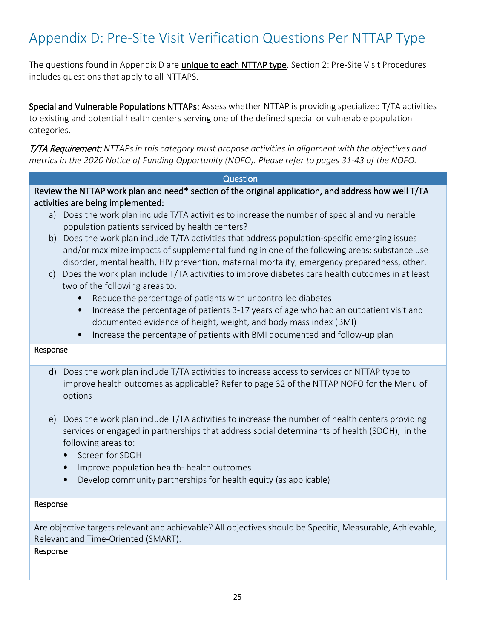## <span id="page-25-0"></span>Appendix D: Pre-Site Visit Verification Questions Per NTTAP Type

The questions found in Appendix D are **unique to each NTTAP type**. Section 2: Pre-Site Visit Procedures includes questions that apply to all NTTAPS.

Special and Vulnerable Populations NTTAPs: Assess whether NTTAP is providing specialized T/TA activities to existing and potential health centers serving one of the defined special or vulnerable population categories.

T/TA Requirement: *NTTAPsin this category must propose activities in alignment with the objectives and metrics in the 2020 Notice of Funding Opportunity (NOFO). Please refer to pages 31-43 of the NOFO.*

#### **Question**

Review the NTTAP work plan and need\* section of the original application, and address how well T/TA activities are being implemented:

- a) Does the work plan include T/TA activities to increase the number of special and vulnerable population patients serviced by health centers?
- b) Does the work plan include T/TA activities that address population-specific emerging issues and/or maximize impacts of supplemental funding in one of the following areas: substance use disorder, mental health, HIV prevention, maternal mortality, emergency preparedness, other.
- c) Does the work plan include T/TA activities to improve diabetes care health outcomes in at least two of the following areas to:
	- Reduce the percentage of patients with uncontrolled diabetes
	- Increase the percentage of patients 3-17 years of age who had an outpatient visit and documented evidence of height, weight, and body mass index (BMI)
	- Increase the percentage of patients with BMI documented and follow-up plan

#### Response

- d) Does the work plan include T/TA activities to increase access to services or NTTAP type to improve health outcomes as applicable? Refer to page 32 of the NTTAP NOFO for the Menu of options
- e) Does the work plan include T/TA activities to increase the number of health centers providing services or engaged in partnerships that address social determinants of health (SDOH), in the following areas to:
	- Screen for SDOH
	- Improve population health- health outcomes
	- Develop community partnerships for health equity (as applicable)

#### Response

Are objective targets relevant and achievable? All objectives should be Specific, Measurable, Achievable, Relevant and Time-Oriented (SMART).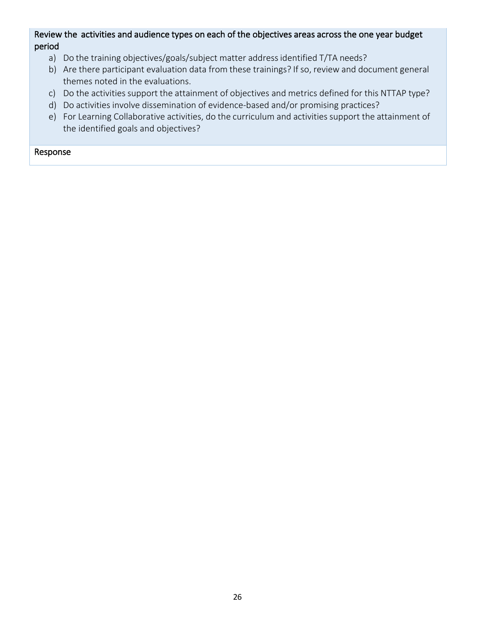#### Review the activities and audience types on each of the objectives areas across the one year budget period

- a) Do the training objectives/goals/subject matter address identified T/TA needs?
- b) Are there participant evaluation data from these trainings? If so, review and document general themes noted in the evaluations.
- c) Do the activities support the attainment of objectives and metrics defined for this NTTAP type?
- d) Do activities involve dissemination of evidence-based and/or promising practices?
- e) For Learning Collaborative activities, do the curriculum and activities support the attainment of the identified goals and objectives?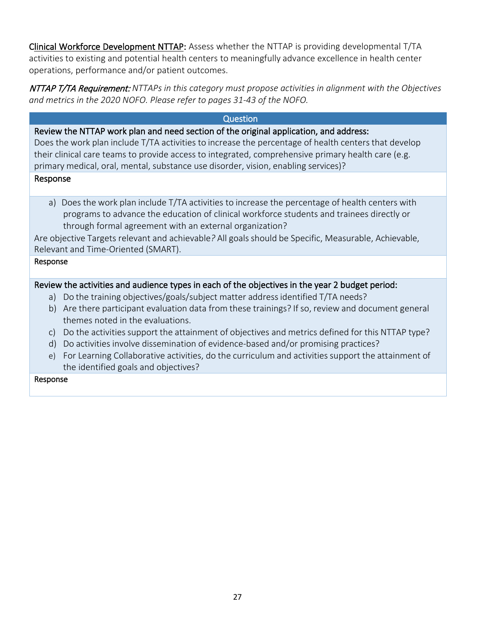Clinical Workforce Development NTTAP: Assess whether the NTTAP is providing developmental T/TA activities to existing and potential health centers to meaningfully advance excellence in health center operations, performance and/or patient outcomes.

NTTAP T/TA Requirement: *NTTAPs in this category must propose activities in alignment with the Objectives and metrics in the 2020 NOFO. Please refer to pages 31-43 of the NOFO.*

#### Question

Review the NTTAP work plan and need section of the original application, and address:

Does the work plan include T/TA activities to increase the percentage of health centers that develop their clinical care teams to provide access to integrated, comprehensive primary health care (e.g. primary medical, oral, mental, substance use disorder, vision, enabling services)?

#### Response

a) Does the work plan include T/TA activities to increase the percentage of health centers with programs to advance the education of clinical workforce students and trainees directly or through formal agreement with an external organization?

Are objective Targets relevant and achievable*?* All goals should be Specific, Measurable, Achievable, Relevant and Time-Oriented (SMART).

#### Response

#### Review the activities and audience types in each of the objectives in the year 2 budget period:

- a) Do the training objectives/goals/subject matter addressidentified T/TA needs?
- b) Are there participant evaluation data from these trainings? If so, review and document general themes noted in the evaluations.
- c) Do the activities support the attainment of objectives and metrics defined for this NTTAP type?
- d) Do activities involve dissemination of evidence-based and/or promising practices?
- e) For Learning Collaborative activities, do the curriculum and activities support the attainment of the identified goals and objectives?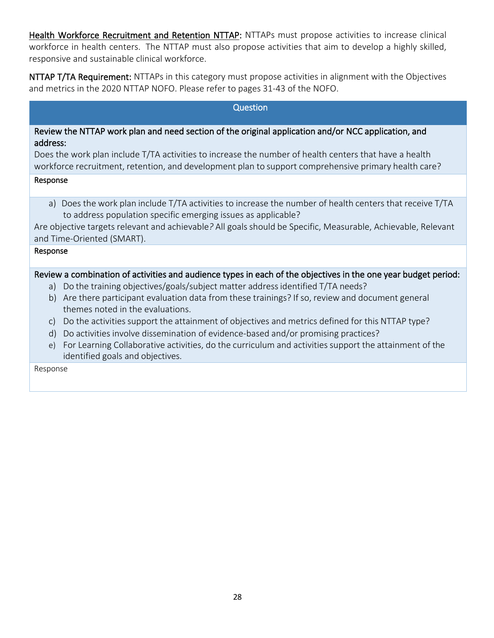Health Workforce Recruitment and Retention NTTAP: NTTAPs must propose activities to increase clinical workforce in health centers. The NTTAP must also propose activities that aim to develop a highly skilled, responsive and sustainable clinical workforce.

NTTAP T/TA Requirement: NTTAPs in this category must propose activities in alignment with the Objectives and metrics in the 2020 NTTAP NOFO. Please refer to pages 31-43 of the NOFO.

#### Question

#### Review the NTTAP work plan and need section of the original application and/or NCC application, and address:

Does the work plan include T/TA activities to increase the number of health centers that have a health workforce recruitment, retention, and development plan to support comprehensive primary health care?

#### Response

a) Does the work plan include T/TA activities to increase the number of health centers that receive T/TA to address population specific emerging issues as applicable?

Are objective targets relevant and achievable*?* All goals should be Specific, Measurable, Achievable, Relevant and Time-Oriented (SMART).

#### Response

#### Review a combination of activities and audience types in each of the objectives in the one year budget period:

- a) Do the training objectives/goals/subject matter addressidentified T/TA needs?
- b) Are there participant evaluation data from these trainings? If so, review and document general themes noted in the evaluations.
- c) Do the activities support the attainment of objectives and metrics defined for this NTTAP type?
- d) Do activities involve dissemination of evidence-based and/or promising practices?
- e) For Learning Collaborative activities, do the curriculum and activities support the attainment of the identified goals and objectives.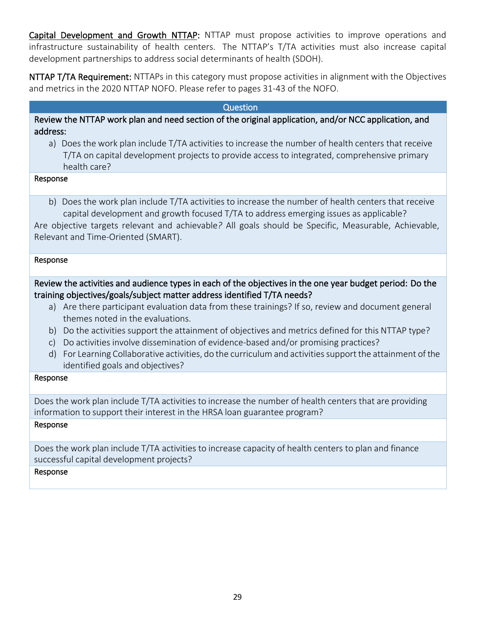Capital Development and Growth NTTAP: NTTAP must propose activities to improve operations and infrastructure sustainability of health centers. The NTTAP's T/TA activities must also increase capital development partnerships to address social determinants of health (SDOH).

NTTAP T/TA Requirement: NTTAPs in this category must propose activities in alignment with the Objectives and metrics in the 2020 NTTAP NOFO. Please refer to pages 31-43 of the NOFO.

#### Question

Review the NTTAP work plan and need section of the original application, and/or NCC application, and address:

a) Does the work plan include T/TA activities to increase the number of health centers that receive T/TA on capital development projects to provide access to integrated, comprehensive primary health care?

#### Response

b) Does the work plan include T/TA activities to increase the number of health centers that receive capital development and growth focused T/TA to address emerging issues as applicable?

Are objective targets relevant and achievable*?* All goals should be Specific, Measurable, Achievable, Relevant and Time-Oriented (SMART).

#### Response

Review the activities and audience types in each of the objectives in the one year budget period: Do the training objectives/goals/subject matter address identified T/TA needs?

- a) Are there participant evaluation data from these trainings? If so, review and document general themes noted in the evaluations.
- b) Do the activities support the attainment of objectives and metrics defined for this NTTAP type?
- c) Do activities involve dissemination of evidence-based and/or promising practices?
- d) For Learning Collaborative activities, do the curriculum and activities support the attainment of the identified goals and objectives?

#### Response

Does the work plan include T/TA activities to increase the number of health centers that are providing information to support their interest in the HRSA loan guarantee program?

#### Response

Does the work plan include T/TA activities to increase capacity of health centers to plan and finance successful capital development projects?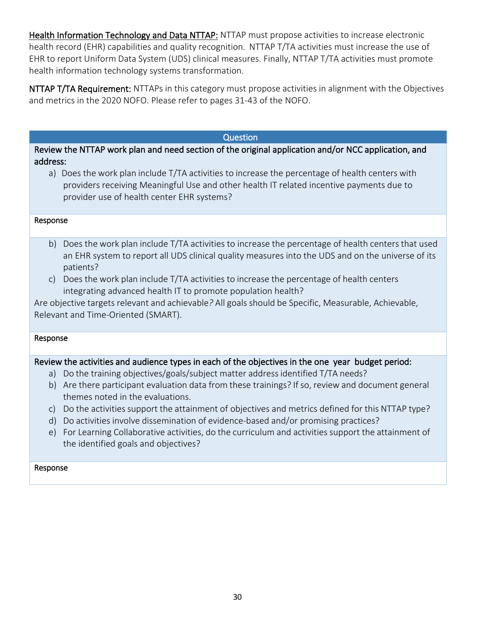Health Information Technology and Data NTTAP: NTTAP must propose activities to increase electronic health record (EHR) capabilities and quality recognition. NTTAP T/TA activities must increase the use of EHR to report Uniform Data System (UDS) clinical measures. Finally, NTTAP T/TA activities must promote health information technology systems transformation.

NTTAP T/TA Requirement: NTTAPs in this category must propose activities in alignment with the Objectives and metrics in the 2020 NOFO. Please refer to pages 31-43 of the NOFO.

#### Question

Review the NTTAP work plan and need section of the original application and/or NCC application, and address:

a) Does the work plan include T/TA activities to increase the percentage of health centers with providers receiving Meaningful Use and other health IT related incentive payments due to provider use of health center EHR systems?

#### Response

- b) Does the work plan include T/TA activities to increase the percentage of health centers that used an EHR system to report all UDS clinical quality measures into the UDS and on the universe of its patients?
- c) Does the work plan include T/TA activities to increase the percentage of health centers integrating advanced health IT to promote population health?

Are objective targets relevant and achievable*?* All goals should be Specific, Measurable, Achievable, Relevant and Time-Oriented (SMART).

#### Response

#### Review the activities and audience types in each of the objectives in the one year budget period:

- a) Do the training objectives/goals/subject matter address identified T/TA needs?
- b) Are there participant evaluation data from these trainings? If so, review and document general themes noted in the evaluations.
- c) Do the activities support the attainment of objectives and metrics defined for this NTTAP type?
- d) Do activities involve dissemination of evidence-based and/or promising practices?
- e) For Learning Collaborative activities, do the curriculum and activities support the attainment of the identified goals and objectives?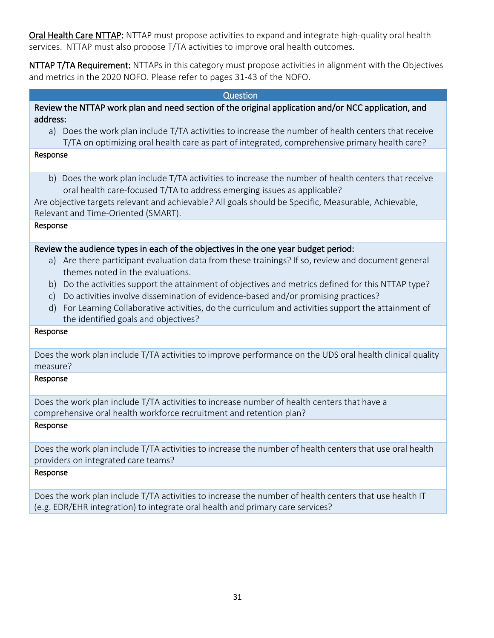Oral Health Care NTTAP: NTTAP must propose activities to expand and integrate high-quality oral health services. NTTAP must also propose T/TA activities to improve oral health outcomes.

NTTAP T/TA Requirement: NTTAPs in this category must propose activities in alignment with the Objectives and metrics in the 2020 NOFO. Please refer to pages 31-43 of the NOFO.

#### Question Review the NTTAP work plan and need section of the original application and/or NCC application, and address: a) Does the work plan include T/TA activities to increase the number of health centers that receive T/TA on optimizing oral health care as part of integrated, comprehensive primary health care? Response b) Does the work plan include T/TA activities to increase the number of health centers that receive oral health care-focused T/TA to address emerging issues as applicable? Are objective targets relevant and achievable*?* All goals should be Specific, Measurable, Achievable, Relevant and Time-Oriented (SMART). Response Review the audience types in each of the objectives in the one year budget period: a) Are there participant evaluation data from these trainings? If so, review and document general themes noted in the evaluations. b) Do the activities support the attainment of objectives and metrics defined for this NTTAP type? c) Do activities involve dissemination of evidence-based and/or promising practices? d) For Learning Collaborative activities, do the curriculum and activities support the attainment of the identified goals and objectives?

#### Response

Does the work plan include T/TA activities to improve performance on the UDS oral health clinical quality measure?

#### Response

Does the work plan include T/TA activities to increase number of health centers that have a comprehensive oral health workforce recruitment and retention plan?

#### Response

Does the work plan include T/TA activities to increase the number of health centers that use oral health providers on integrated care teams?

#### Response

Does the work plan include T/TA activities to increase the number of health centers that use health IT (e.g. EDR/EHR integration) to integrate oral health and primary care services?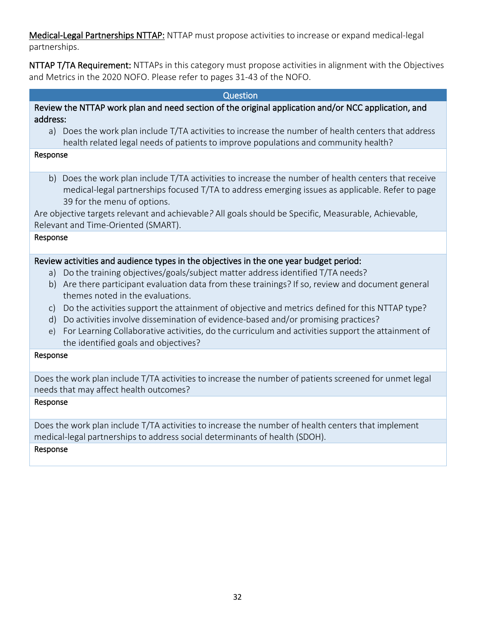Medical-Legal Partnerships NTTAP: NTTAP must propose activities to increase or expand medical-legal partnerships.

NTTAP T/TA Requirement: NTTAPs in this category must propose activities in alignment with the Objectives and Metrics in the 2020 NOFO. Please refer to pages 31-43 of the NOFO.

| Question                                                                                                                                                                                                                                                                                                                                                                                                                                                                                                                                                                                                                                          |  |  |  |
|---------------------------------------------------------------------------------------------------------------------------------------------------------------------------------------------------------------------------------------------------------------------------------------------------------------------------------------------------------------------------------------------------------------------------------------------------------------------------------------------------------------------------------------------------------------------------------------------------------------------------------------------------|--|--|--|
| Review the NTTAP work plan and need section of the original application and/or NCC application, and<br>address:                                                                                                                                                                                                                                                                                                                                                                                                                                                                                                                                   |  |  |  |
| Does the work plan include T/TA activities to increase the number of health centers that address<br>a)<br>health related legal needs of patients to improve populations and community health?                                                                                                                                                                                                                                                                                                                                                                                                                                                     |  |  |  |
| Response                                                                                                                                                                                                                                                                                                                                                                                                                                                                                                                                                                                                                                          |  |  |  |
| Does the work plan include T/TA activities to increase the number of health centers that receive<br>b)<br>medical-legal partnerships focused T/TA to address emerging issues as applicable. Refer to page<br>39 for the menu of options.                                                                                                                                                                                                                                                                                                                                                                                                          |  |  |  |
| Are objective targets relevant and achievable? All goals should be Specific, Measurable, Achievable,<br>Relevant and Time-Oriented (SMART).                                                                                                                                                                                                                                                                                                                                                                                                                                                                                                       |  |  |  |
| Response                                                                                                                                                                                                                                                                                                                                                                                                                                                                                                                                                                                                                                          |  |  |  |
| Review activities and audience types in the objectives in the one year budget period:<br>Do the training objectives/goals/subject matter address identified T/TA needs?<br>a)<br>Are there participant evaluation data from these trainings? If so, review and document general<br>b)<br>themes noted in the evaluations.<br>Do the activities support the attainment of objective and metrics defined for this NTTAP type?<br>$\mathsf{C}$<br>Do activities involve dissemination of evidence-based and/or promising practices?<br>d)<br>For Learning Collaborative activities, do the curriculum and activities support the attainment of<br>e) |  |  |  |
| the identified goals and objectives?<br>Response                                                                                                                                                                                                                                                                                                                                                                                                                                                                                                                                                                                                  |  |  |  |
|                                                                                                                                                                                                                                                                                                                                                                                                                                                                                                                                                                                                                                                   |  |  |  |
| Does the work plan include T/TA activities to increase the number of patients screened for unmet legal<br>needs that may affect health outcomes?                                                                                                                                                                                                                                                                                                                                                                                                                                                                                                  |  |  |  |

Response

Does the work plan include T/TA activities to increase the number of health centers that implement medical-legal partnerships to address social determinants of health (SDOH).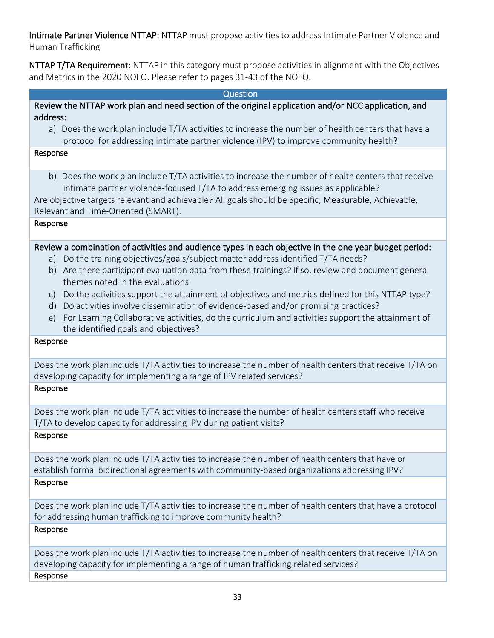Intimate Partner Violence NTTAP: NTTAP must propose activities to address Intimate Partner Violence and Human Trafficking

NTTAP T/TA Requirement: NTTAP in this category must propose activities in alignment with the Objectives and Metrics in the 2020 NOFO. Please refer to pages 31-43 of the NOFO.

#### Question

#### Review the NTTAP work plan and need section of the original application and/or NCC application, and address:

a) Does the work plan include T/TA activities to increase the number of health centers that have a protocol for addressing intimate partner violence (IPV) to improve community health?

#### Response

b) Does the work plan include T/TA activities to increase the number of health centers that receive intimate partner violence-focused T/TA to address emerging issues as applicable?

Are objective targets relevant and achievable*?* All goals should be Specific, Measurable, Achievable,

Relevant and Time-Oriented (SMART).

#### Response

#### Review a combination of activities and audience types in each objective in the one year budget period:

- a) Do the training objectives/goals/subject matter addressidentified T/TA needs?
- b) Are there participant evaluation data from these trainings? If so, review and document general themes noted in the evaluations.
- c) Do the activities support the attainment of objectives and metrics defined for this NTTAP type?
- d) Do activities involve dissemination of evidence-based and/or promising practices?
- e) For Learning Collaborative activities, do the curriculum and activities support the attainment of the identified goals and objectives?

#### Response

Does the work plan include T/TA activities to increase the number of health centers that receive T/TA on developing capacity for implementing a range of IPV related services? Response

Does the work plan include T/TA activities to increase the number of health centers staff who receive T/TA to develop capacity for addressing IPV during patient visits?

#### Response

Does the work plan include T/TA activities to increase the number of health centers that have or establish formal bidirectional agreements with community-based organizations addressing IPV? Response

Does the work plan include T/TA activities to increase the number of health centers that have a protocol for addressing human trafficking to improve community health?

#### Response

Does the work plan include T/TA activities to increase the number of health centers that receive T/TA on developing capacity for implementing a range of human trafficking related services? Response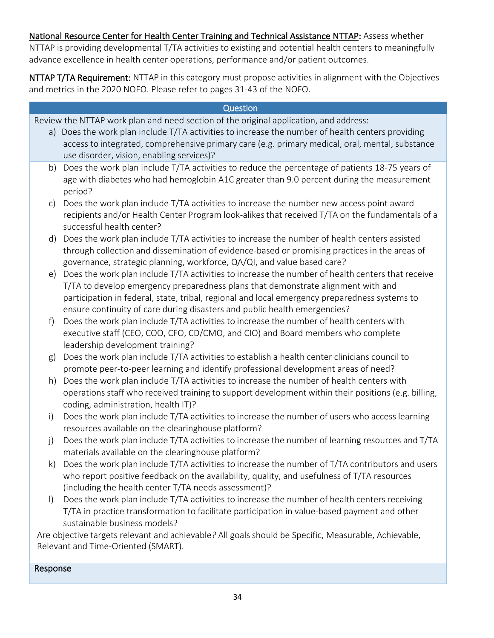#### National Resource Center for Health Center Training and Technical Assistance NTTAP: Assess whether NTTAP is providing developmental T/TA activities to existing and potential health centers to meaningfully advance excellence in health center operations, performance and/or patient outcomes.

NTTAP T/TA Requirement: NTTAP in this category must propose activities in alignment with the Objectives and metrics in the 2020 NOFO. Please refer to pages 31-43 of the NOFO.

|              | Question                                                                                                                                                                 |
|--------------|--------------------------------------------------------------------------------------------------------------------------------------------------------------------------|
|              | Review the NTTAP work plan and need section of the original application, and address:                                                                                    |
|              | a) Does the work plan include T/TA activities to increase the number of health centers providing                                                                         |
|              | access to integrated, comprehensive primary care (e.g. primary medical, oral, mental, substance                                                                          |
|              | use disorder, vision, enabling services)?                                                                                                                                |
| b)           | Does the work plan include T/TA activities to reduce the percentage of patients 18-75 years of                                                                           |
|              | age with diabetes who had hemoglobin A1C greater than 9.0 percent during the measurement<br>period?                                                                      |
| $\mathsf{C}$ | Does the work plan include T/TA activities to increase the number new access point award                                                                                 |
|              | recipients and/or Health Center Program look-alikes that received T/TA on the fundamentals of a<br>successful health center?                                             |
| d)           | Does the work plan include T/TA activities to increase the number of health centers assisted                                                                             |
|              | through collection and dissemination of evidence-based or promising practices in the areas of<br>governance, strategic planning, workforce, QA/QI, and value based care? |
| e)           | Does the work plan include T/TA activities to increase the number of health centers that receive                                                                         |
|              | T/TA to develop emergency preparedness plans that demonstrate alignment with and                                                                                         |
|              | participation in federal, state, tribal, regional and local emergency preparedness systems to                                                                            |
|              | ensure continuity of care during disasters and public health emergencies?                                                                                                |
| f)           | Does the work plan include T/TA activities to increase the number of health centers with                                                                                 |
|              | executive staff (CEO, COO, CFO, CD/CMO, and CIO) and Board members who complete                                                                                          |
|              | leadership development training?                                                                                                                                         |
| g)           | Does the work plan include T/TA activities to establish a health center clinicians council to                                                                            |
|              | promote peer-to-peer learning and identify professional development areas of need?                                                                                       |
| h)           | Does the work plan include T/TA activities to increase the number of health centers with                                                                                 |
|              | operations staff who received training to support development within their positions (e.g. billing,                                                                      |
|              | coding, administration, health IT)?                                                                                                                                      |
| $\mathsf{i}$ | Does the work plan include T/TA activities to increase the number of users who access learning                                                                           |
|              | resources available on the clearinghouse platform?                                                                                                                       |
| j)           | Does the work plan include T/TA activities to increase the number of learning resources and T/TA                                                                         |
|              | materials available on the clearinghouse platform?                                                                                                                       |
| k)           | Does the work plan include T/TA activities to increase the number of T/TA contributors and users                                                                         |
|              | who report positive feedback on the availability, quality, and usefulness of T/TA resources<br>(including the health center T/TA needs assessment)?                      |
| $\vert$      | Does the work plan include T/TA activities to increase the number of health centers receiving                                                                            |
|              | T/TA in practice transformation to facilitate participation in value-based payment and other                                                                             |
|              | sustainable business models?                                                                                                                                             |
|              | Are objective targets relevant and achievable? All goals should be Specific, Measurable, Achievable,                                                                     |
|              | Relevant and Time-Oriented (SMART).                                                                                                                                      |
|              |                                                                                                                                                                          |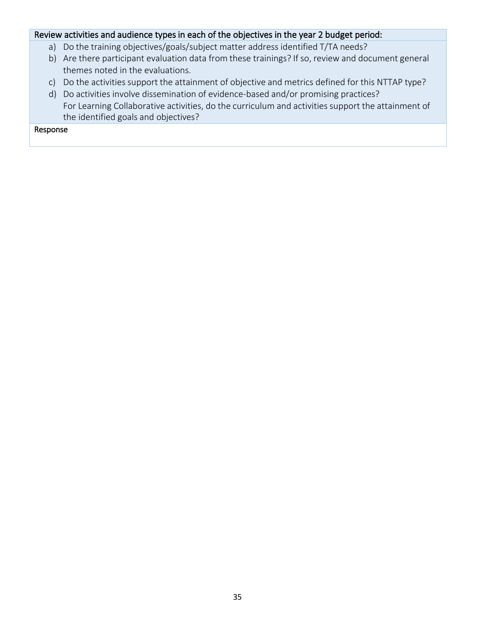#### Review activities and audience types in each of the objectives in the year 2 budget period:

- a) Do the training objectives/goals/subject matter address identified T/TA needs?
- b) Are there participant evaluation data from these trainings? If so, review and document general themes noted in the evaluations.
- c) Do the activities support the attainment of objective and metrics defined for this NTTAP type?
- d) Do activities involve dissemination of evidence-based and/or promising practices? For Learning Collaborative activities, do the curriculum and activities support the attainment of the identified goals and objectives?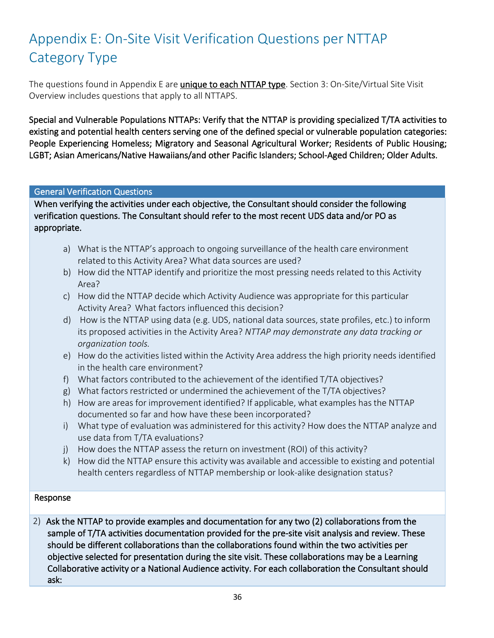## <span id="page-36-0"></span>Appendix E: On-Site Visit Verification Questions per NTTAP Category Type

The questions found in Appendix E are *unique to each NTTAP type*. Section 3: On-Site/Virtual Site Visit Overview includes questions that apply to all NTTAPS.

Special and Vulnerable Populations NTTAPs: Verify that the NTTAP is providing specialized T/TA activities to existing and potential health centers serving one of the defined special or vulnerable population categories: People Experiencing Homeless; Migratory and Seasonal Agricultural Worker; Residents of Public Housing; LGBT; Asian Americans/Native Hawaiians/and other Pacific Islanders; School-Aged Children; Older Adults.

#### General Verification Questions

When verifying the activities under each objective, the Consultant should consider the following verification questions. The Consultant should refer to the most recent UDS data and/or PO as appropriate.

- a) What is the NTTAP's approach to ongoing surveillance of the health care environment related to this Activity Area? What data sources are used?
- b) How did the NTTAP identify and prioritize the most pressing needs related to this Activity Area?
- c) How did the NTTAP decide which Activity Audience was appropriate for this particular Activity Area? What factors influenced this decision?
- d) How is the NTTAP using data (e.g. UDS, national data sources, state profiles, etc.) to inform its proposed activities in the Activity Area? *NTTAP may demonstrate any data tracking or organization tools.*
- e) How do the activities listed within the Activity Area address the high priority needs identified in the health care environment?
- f) What factors contributed to the achievement of the identified T/TA objectives?
- g) What factors restricted or undermined the achievement of the T/TA objectives?
- h) How are areas for improvement identified? If applicable, what examples has the NTTAP documented so far and how have these been incorporated?
- i) What type of evaluation was administered for this activity? How does the NTTAP analyze and use data from T/TA evaluations?
- j) How does the NTTAP assess the return on investment (ROI) of this activity?
- k) How did the NTTAP ensure this activity was available and accessible to existing and potential health centers regardless of NTTAP membership or look-alike designation status?

#### Response

2) Ask the NTTAP to provide examples and documentation for any two (2) collaborations from the sample of T/TA activities documentation provided for the pre-site visit analysis and review. These should be different collaborations than the collaborations found within the two activities per objective selected for presentation during the site visit. These collaborations may be a Learning Collaborative activity or a National Audience activity. For each collaboration the Consultant should ask: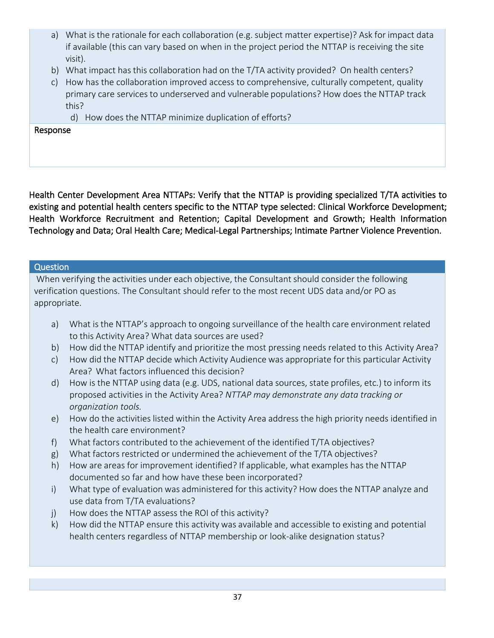- a) What is the rationale for each collaboration (e.g. subject matter expertise)? Ask for impact data if available (this can vary based on when in the project period the NTTAP is receiving the site visit).
- b) What impact has this collaboration had on the T/TA activity provided? On health centers?
- c) How has the collaboration improved access to comprehensive, culturally competent, quality primary care services to underserved and vulnerable populations? How does the NTTAP track this?
	- d) How does the NTTAP minimize duplication of efforts?

#### Response

Health Center Development Area NTTAPs: Verify that the NTTAP is providing specialized T/TA activities to existing and potential health centers specific to the NTTAP type selected: Clinical Workforce Development; Health Workforce Recruitment and Retention; Capital Development and Growth; Health Information Technology and Data; Oral Health Care; Medical-Legal Partnerships; Intimate Partner Violence Prevention.

#### Question

When verifying the activities under each objective, the Consultant should consider the following verification questions. The Consultant should refer to the most recent UDS data and/or PO as appropriate.

- a) What is the NTTAP's approach to ongoing surveillance of the health care environment related to this Activity Area? What data sources are used?
- b) How did the NTTAP identify and prioritize the most pressing needs related to this Activity Area?
- c) How did the NTTAP decide which Activity Audience was appropriate for this particular Activity Area? What factors influenced this decision?
- d) How is the NTTAP using data (e.g. UDS, national data sources, state profiles, etc.) to inform its proposed activities in the Activity Area? *NTTAP may demonstrate any data tracking or organization tools.*
- e) How do the activities listed within the Activity Area address the high priority needs identified in the health care environment?
- f) What factors contributed to the achievement of the identified T/TA objectives?
- g) What factors restricted or undermined the achievement of the T/TA objectives?
- h) How are areas for improvement identified? If applicable, what examples has the NTTAP documented so far and how have these been incorporated?
- i) What type of evaluation was administered for this activity? How does the NTTAP analyze and use data from T/TA evaluations?
- j) How does the NTTAP assess the ROI of this activity?
- k) How did the NTTAP ensure this activity was available and accessible to existing and potential health centers regardless of NTTAP membership or look-alike designation status?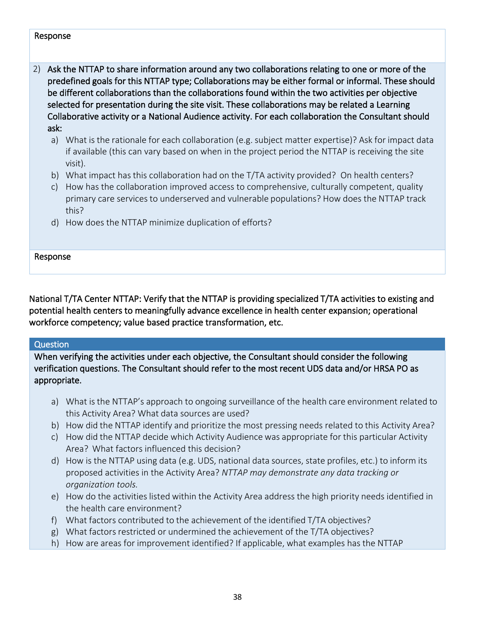#### Response

- 2) Ask the NTTAP to share information around any two collaborations relating to one or more of the predefined goals for this NTTAP type; Collaborations may be either formal or informal. These should be different collaborations than the collaborations found within the two activities per objective selected for presentation during the site visit. These collaborations may be related a Learning Collaborative activity or a National Audience activity. For each collaboration the Consultant should ask:
	- a) What is the rationale for each collaboration (e.g. subject matter expertise)? Ask for impact data if available (this can vary based on when in the project period the NTTAP is receiving the site visit).
	- b) What impact has this collaboration had on the T/TA activity provided? On health centers?
	- c) How has the collaboration improved access to comprehensive, culturally competent, quality primary care services to underserved and vulnerable populations? How does the NTTAP track this?
	- d) How does the NTTAP minimize duplication of efforts?

#### Response

National T/TA Center NTTAP: Verify that the NTTAP is providing specialized T/TA activities to existing and potential health centers to meaningfully advance excellence in health center expansion; operational workforce competency; value based practice transformation, etc.

#### Question

When verifying the activities under each objective, the Consultant should consider the following verification questions. The Consultant should refer to the most recent UDS data and/or HRSA PO as appropriate.

- a) What is the NTTAP's approach to ongoing surveillance of the health care environment related to this Activity Area? What data sources are used?
- b) How did the NTTAP identify and prioritize the most pressing needs related to this Activity Area?
- c) How did the NTTAP decide which Activity Audience was appropriate for this particular Activity Area? What factors influenced this decision?
- d) How is the NTTAP using data (e.g. UDS, national data sources, state profiles, etc.) to inform its proposed activities in the Activity Area? *NTTAP may demonstrate any data tracking or organization tools.*
- e) How do the activities listed within the Activity Area address the high priority needs identified in the health care environment?
- f) What factors contributed to the achievement of the identified T/TA objectives?
- g) What factors restricted or undermined the achievement of the T/TA objectives?
- h) How are areas for improvement identified? If applicable, what examples has the NTTAP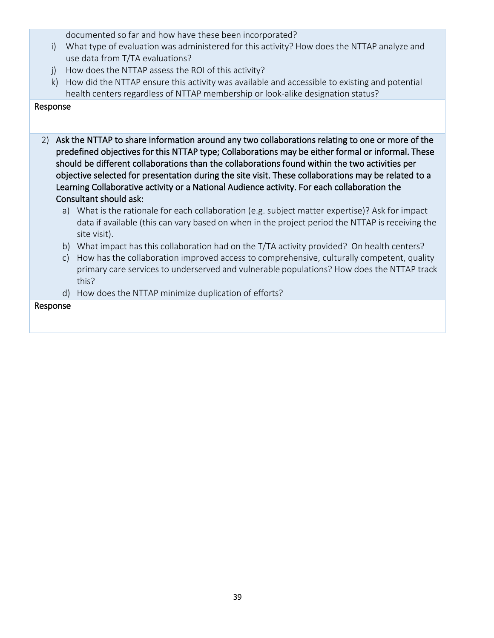documented so far and how have these been incorporated?

- i) What type of evaluation was administered for this activity? How does the NTTAP analyze and use data from T/TA evaluations?
- j) How does the NTTAP assess the ROI of this activity?
- k) How did the NTTAP ensure this activity was available and accessible to existing and potential health centers regardless of NTTAP membership or look-alike designation status?

#### Response

- 2) Ask the NTTAP to share information around any two collaborations relating to one or more of the predefined objectives for this NTTAP type; Collaborations may be either formal or informal. These should be different collaborations than the collaborations found within the two activities per objective selected for presentation during the site visit. These collaborations may be related to a Learning Collaborative activity or a National Audience activity. For each collaboration the Consultant should ask:
	- a) What is the rationale for each collaboration (e.g. subject matter expertise)? Ask for impact data if available (this can vary based on when in the project period the NTTAP is receiving the site visit).
	- b) What impact has this collaboration had on the T/TA activity provided? On health centers?
	- c) How has the collaboration improved access to comprehensive, culturally competent, quality primary care services to underserved and vulnerable populations? How does the NTTAP track this?
	- d) How does the NTTAP minimize duplication of efforts?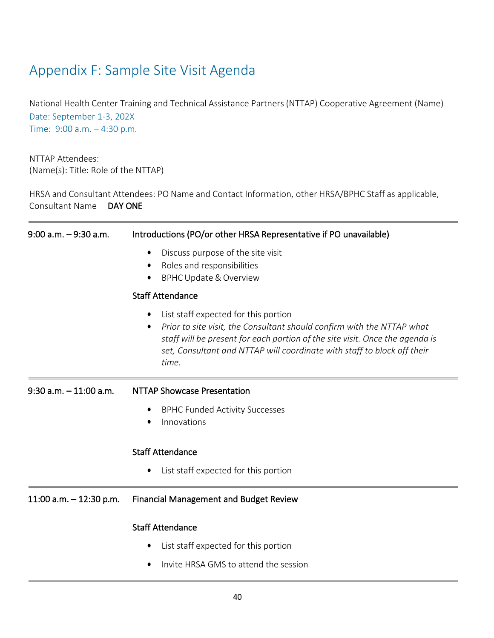## <span id="page-40-0"></span>Appendix F: Sample Site Visit Agenda

National Health Center Training and Technical Assistance Partners(NTTAP) Cooperative Agreement (Name) Date: September 1-3, 202X Time: 9:00 a.m. – 4:30 p.m.

NTTAP Attendees: (Name(s): Title: Role of the NTTAP)

HRSA and Consultant Attendees: PO Name and Contact Information, other HRSA/BPHC Staff as applicable, Consultant Name DAY ONE

| $9:00$ a.m. $-9:30$ a.m.  | Introductions (PO/or other HRSA Representative if PO unavailable)                                                                                                                                                                                                                            |  |  |  |  |
|---------------------------|----------------------------------------------------------------------------------------------------------------------------------------------------------------------------------------------------------------------------------------------------------------------------------------------|--|--|--|--|
|                           | Discuss purpose of the site visit<br>$\bullet$<br>Roles and responsibilities<br>$\bullet$<br><b>BPHC Update &amp; Overview</b>                                                                                                                                                               |  |  |  |  |
|                           | <b>Staff Attendance</b>                                                                                                                                                                                                                                                                      |  |  |  |  |
|                           | List staff expected for this portion<br>٠<br>Prior to site visit, the Consultant should confirm with the NTTAP what<br>٠<br>staff will be present for each portion of the site visit. Once the agenda is<br>set, Consultant and NTTAP will coordinate with staff to block off their<br>time. |  |  |  |  |
| $9:30$ a.m. $-11:00$ a.m. | <b>NTTAP Showcase Presentation</b>                                                                                                                                                                                                                                                           |  |  |  |  |
|                           | <b>BPHC Funded Activity Successes</b><br>٠                                                                                                                                                                                                                                                   |  |  |  |  |
|                           | Innovations<br>$\bullet$                                                                                                                                                                                                                                                                     |  |  |  |  |
|                           | <b>Staff Attendance</b>                                                                                                                                                                                                                                                                      |  |  |  |  |
|                           | List staff expected for this portion<br>٠                                                                                                                                                                                                                                                    |  |  |  |  |
| 11:00 a.m. $-$ 12:30 p.m. | <b>Financial Management and Budget Review</b>                                                                                                                                                                                                                                                |  |  |  |  |
|                           | <b>Staff Attendance</b>                                                                                                                                                                                                                                                                      |  |  |  |  |
|                           | List staff expected for this portion                                                                                                                                                                                                                                                         |  |  |  |  |
|                           | Invite HRSA GMS to attend the session                                                                                                                                                                                                                                                        |  |  |  |  |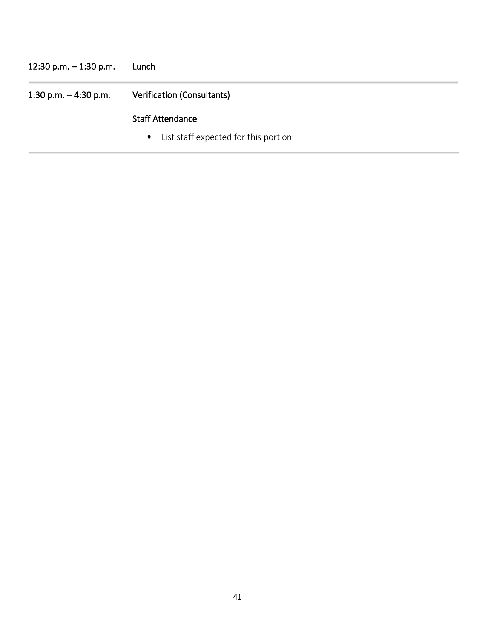## 12:30 p.m. – 1:30 p.m. Lunch 1:30 p.m. – 4:30 p.m. Verification (Consultants) Staff Attendance • List staff expected for this portion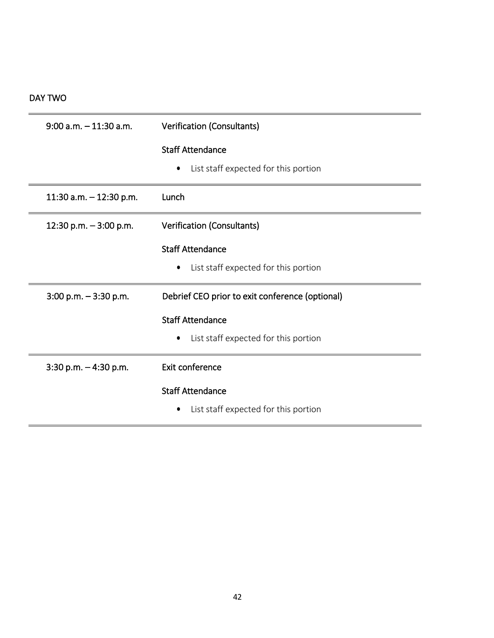#### DAY TWO

| $9:00$ a.m. $-11:30$ a.m. | Verification (Consultants)                      |
|---------------------------|-------------------------------------------------|
|                           | <b>Staff Attendance</b>                         |
|                           | List staff expected for this portion            |
| 11:30 a.m. $-$ 12:30 p.m. | Lunch                                           |
| 12:30 p.m. $-3:00$ p.m.   | Verification (Consultants)                      |
|                           | <b>Staff Attendance</b>                         |
|                           | List staff expected for this portion<br>٠       |
| $3:00$ p.m. $-3:30$ p.m.  | Debrief CEO prior to exit conference (optional) |
|                           | <b>Staff Attendance</b>                         |
|                           | List staff expected for this portion<br>٠       |
| $3:30$ p.m. $-4:30$ p.m.  | Exit conference                                 |
|                           | <b>Staff Attendance</b>                         |
|                           | List staff expected for this portion            |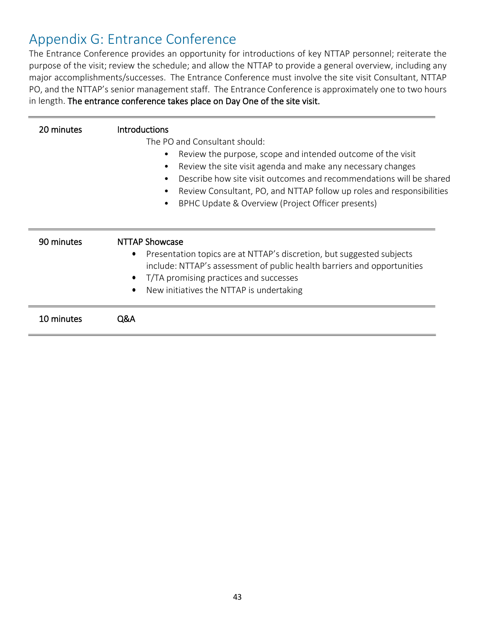## <span id="page-43-0"></span>Appendix G: Entrance Conference

The Entrance Conference provides an opportunity for introductions of key NTTAP personnel; reiterate the purpose of the visit; review the schedule; and allow the NTTAP to provide a general overview, including any major accomplishments/successes. The Entrance Conference must involve the site visit Consultant, NTTAP PO, and the NTTAP's senior management staff. The Entrance Conference is approximately one to two hours in length. The entrance conference takes place on Day One of the site visit.

| 20 minutes | <b>Introductions</b>                                                               |
|------------|------------------------------------------------------------------------------------|
|            | The PO and Consultant should:                                                      |
|            | Review the purpose, scope and intended outcome of the visit                        |
|            | Review the site visit agenda and make any necessary changes                        |
|            | Describe how site visit outcomes and recommendations will be shared                |
|            | Review Consultant, PO, and NTTAP follow up roles and responsibilities              |
|            | BPHC Update & Overview (Project Officer presents)<br>$\bullet$                     |
|            |                                                                                    |
| 90 minutes | <b>NTTAP Showcase</b>                                                              |
|            | Presentation topics are at NTTAP's discretion, but suggested subjects<br>$\bullet$ |
|            | include: NTTAP's assessment of public health barriers and opportunities            |
|            | T/TA promising practices and successes<br>$\bullet$                                |
|            | New initiatives the NTTAP is undertaking<br>$\bullet$                              |
|            |                                                                                    |
| 10 minutes | Q&A                                                                                |
|            |                                                                                    |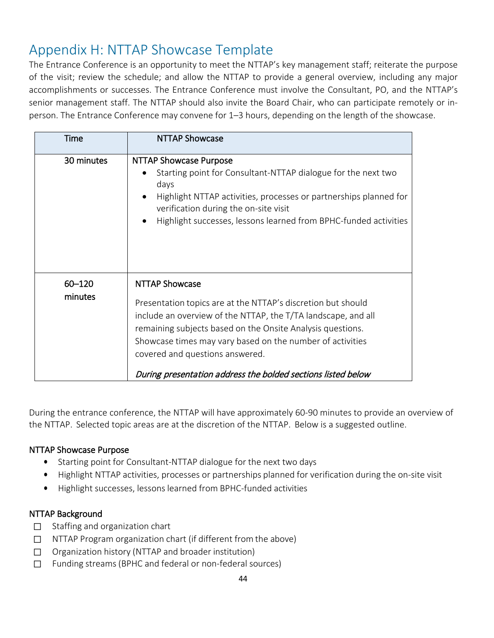## <span id="page-44-0"></span>Appendix H: NTTAP Showcase Template

The Entrance Conference is an opportunity to meet the NTTAP's key management staff; reiterate the purpose of the visit; review the schedule; and allow the NTTAP to provide a general overview, including any major accomplishments or successes. The Entrance Conference must involve the Consultant, PO, and the NTTAP's senior management staff. The NTTAP should also invite the Board Chair, who can participate remotely or inperson. The Entrance Conference may convene for 1–3 hours, depending on the length of the showcase.

| Time              | <b>NTTAP Showcase</b>                                                                                                                                                                                                                                                                                                                                                                |
|-------------------|--------------------------------------------------------------------------------------------------------------------------------------------------------------------------------------------------------------------------------------------------------------------------------------------------------------------------------------------------------------------------------------|
| 30 minutes        | <b>NTTAP Showcase Purpose</b><br>Starting point for Consultant-NTTAP dialogue for the next two<br>days<br>Highlight NTTAP activities, processes or partnerships planned for<br>verification during the on-site visit<br>Highlight successes, lessons learned from BPHC-funded activities                                                                                             |
| 60-120<br>minutes | <b>NTTAP Showcase</b><br>Presentation topics are at the NTTAP's discretion but should<br>include an overview of the NTTAP, the T/TA landscape, and all<br>remaining subjects based on the Onsite Analysis questions.<br>Showcase times may vary based on the number of activities<br>covered and questions answered.<br>During presentation address the bolded sections listed below |

During the entrance conference, the NTTAP will have approximately 60-90 minutes to provide an overview of the NTTAP. Selected topic areas are at the discretion of the NTTAP. Below is a suggested outline.

#### NTTAP Showcase Purpose

- Starting point for Consultant-NTTAP dialogue for the next two days
- Highlight NTTAP activities, processes or partnerships planned for verification during the on-site visit
- Highlight successes, lessons learned from BPHC-funded activities

#### NTTAP Background

- ☐ Staffing and organization chart
- ☐ NTTAP Program organization chart (if different from the above)
- ☐ Organization history (NTTAP and broader institution)
- ☐ Funding streams (BPHC and federal or non-federal sources)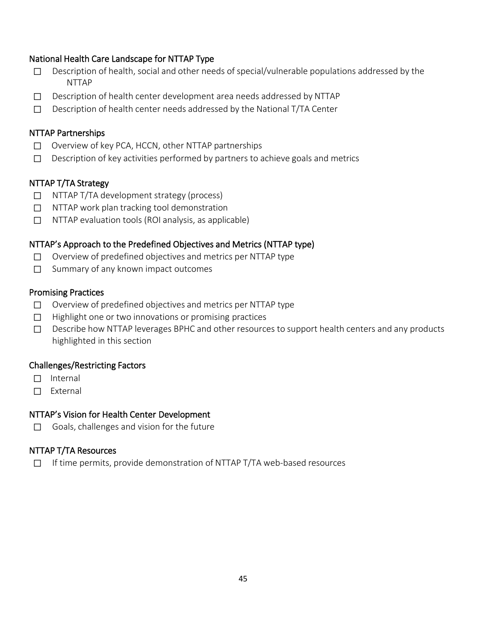#### National Health Care Landscape for NTTAP Type

- □ Description of health, social and other needs of special/vulnerable populations addressed by the NTTAP
- ☐ Description of health center development area needs addressed by NTTAP
- ☐ Description of health center needs addressed by the National T/TA Center

#### NTTAP Partnerships

- ☐ Overview of key PCA, HCCN, other NTTAP partnerships
- $\Box$  Description of key activities performed by partners to achieve goals and metrics

#### NTTAP T/TA Strategy

- ☐ NTTAP T/TA development strategy (process)
- ☐ NTTAP work plan tracking tool demonstration
- ☐ NTTAP evaluation tools (ROI analysis, as applicable)

#### NTTAP's Approach to the Predefined Objectives and Metrics (NTTAP type)

- ☐ Overview of predefined objectives and metrics per NTTAP type
- ☐ Summary of any known impact outcomes

#### Promising Practices

- ☐ Overview of predefined objectives and metrics per NTTAP type
- ☐ Highlight one or two innovations or promising practices
- ☐ Describe how NTTAP leverages BPHC and other resources to support health centers and any products highlighted in this section

#### Challenges/Restricting Factors

- ☐ Internal
- ☐ External

#### NTTAP's Vision for Health Center Development

☐ Goals, challenges and vision for the future

#### NTTAP T/TA Resources

☐ If time permits, provide demonstration of NTTAP T/TA web-based resources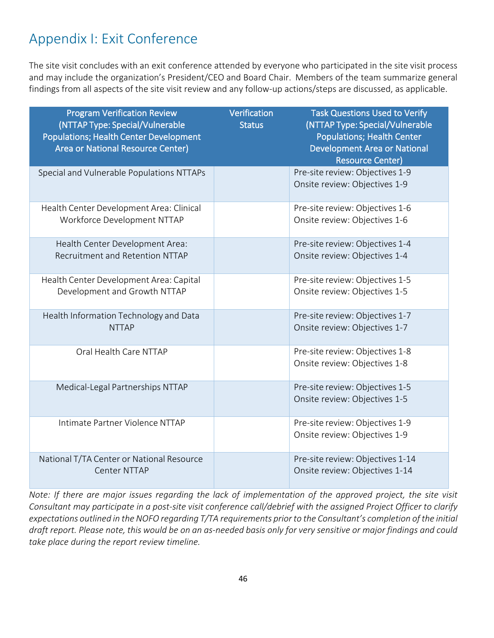## <span id="page-46-0"></span>Appendix I: Exit Conference

The site visit concludes with an exit conference attended by everyone who participated in the site visit process and may include the organization's President/CEO and Board Chair. Members of the team summarize general findings from all aspects of the site visit review and any follow-up actions/steps are discussed, as applicable.

| <b>Program Verification Review</b><br>(NTTAP Type: Special/Vulnerable<br>Populations; Health Center Development<br><b>Area or National Resource Center)</b> | Verification<br><b>Status</b> | <b>Task Questions Used to Verify</b><br>(NTTAP Type: Special/Vulnerable<br><b>Populations; Health Center</b><br><b>Development Area or National</b><br><b>Resource Center)</b> |
|-------------------------------------------------------------------------------------------------------------------------------------------------------------|-------------------------------|--------------------------------------------------------------------------------------------------------------------------------------------------------------------------------|
| Special and Vulnerable Populations NTTAPs                                                                                                                   |                               | Pre-site review: Objectives 1-9<br>Onsite review: Objectives 1-9                                                                                                               |
| Health Center Development Area: Clinical<br>Workforce Development NTTAP                                                                                     |                               | Pre-site review: Objectives 1-6<br>Onsite review: Objectives 1-6                                                                                                               |
| Health Center Development Area:<br>Recruitment and Retention NTTAP                                                                                          |                               | Pre-site review: Objectives 1-4<br>Onsite review: Objectives 1-4                                                                                                               |
| Health Center Development Area: Capital<br>Development and Growth NTTAP                                                                                     |                               | Pre-site review: Objectives 1-5<br>Onsite review: Objectives 1-5                                                                                                               |
| Health Information Technology and Data<br><b>NTTAP</b>                                                                                                      |                               | Pre-site review: Objectives 1-7<br>Onsite review: Objectives 1-7                                                                                                               |
| Oral Health Care NTTAP                                                                                                                                      |                               | Pre-site review: Objectives 1-8<br>Onsite review: Objectives 1-8                                                                                                               |
| Medical-Legal Partnerships NTTAP                                                                                                                            |                               | Pre-site review: Objectives 1-5<br>Onsite review: Objectives 1-5                                                                                                               |
| Intimate Partner Violence NTTAP                                                                                                                             |                               | Pre-site review: Objectives 1-9<br>Onsite review: Objectives 1-9                                                                                                               |
| National T/TA Center or National Resource<br>Center NTTAP                                                                                                   |                               | Pre-site review: Objectives 1-14<br>Onsite review: Objectives 1-14                                                                                                             |

*Note: If there are major issues regarding the lack of implementation of the approved project, the site visit Consultant may participate in a post-site visit conference call/debrief with the assigned Project Officer to clarify*  expectations outlined in the NOFO regarding T/TA requirements prior to the Consultant's completion of the initial draft report. Please note, this would be on an as-needed basis only for very sensitive or major findings and could *take place during the report review timeline.*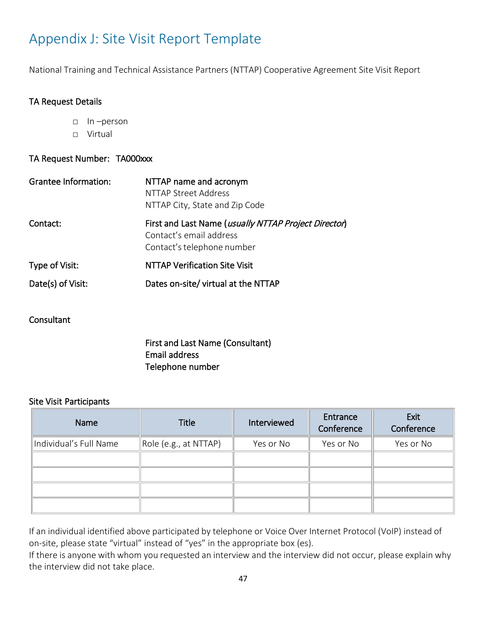## <span id="page-47-0"></span>Appendix J: Site Visit Report Template

National Training and Technical Assistance Partners (NTTAP) Cooperative Agreement Site Visit Report

#### TA Request Details

- □ In –person
- □ Virtual

#### TA Request Number: TA000xxx

| NTTAP name and acronym<br>NTTAP Street Address<br>NTTAP City, State and Zip Code                              |
|---------------------------------------------------------------------------------------------------------------|
| First and Last Name (usually NTTAP Project Director)<br>Contact's email address<br>Contact's telephone number |
| <b>NTTAP Verification Site Visit</b>                                                                          |
| Dates on-site/ virtual at the NTTAP                                                                           |
|                                                                                                               |

#### **Consultant**

First and Last Name (Consultant) Email address Telephone number

#### Site Visit Participants

| Name                   | Title                      | Interviewed | Entrance<br>Conference | Exit<br>Conference |
|------------------------|----------------------------|-------------|------------------------|--------------------|
| Individual's Full Name | $\ $ Role (e.g., at NTTAP) | Yes or No   | Yes or No              | Yes or No          |
|                        |                            |             |                        |                    |
|                        |                            |             |                        |                    |
|                        |                            |             |                        |                    |
|                        |                            |             |                        |                    |

If an individual identified above participated by telephone or Voice Over Internet Protocol (VoIP) instead of on-site, please state "virtual" instead of "yes" in the appropriate box (es).

If there is anyone with whom you requested an interview and the interview did not occur, please explain why the interview did not take place.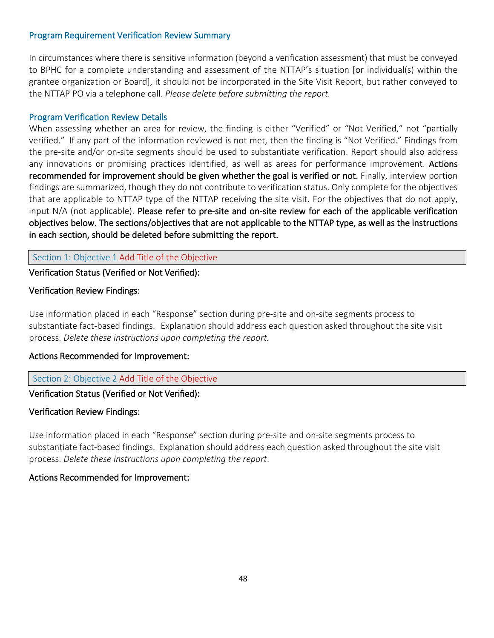#### Program Requirement Verification Review Summary

In circumstances where there is sensitive information (beyond a verification assessment) that must be conveyed to BPHC for a complete understanding and assessment of the NTTAP's situation [or individual(s) within the grantee organization or Board], it should not be incorporated in the Site Visit Report, but rather conveyed to the NTTAP PO via a telephone call. *Please delete before submitting the report.*

#### Program Verification Review Details

When assessing whether an area for review, the finding is either "Verified" or "Not Verified," not "partially verified." If any part of the information reviewed is not met, then the finding is "Not Verified." Findings from the pre-site and/or on-site segments should be used to substantiate verification. Report should also address any innovations or promising practices identified, as well as areas for performance improvement. Actions recommended for improvement should be given whether the goal is verified or not. Finally, interview portion findings are summarized, though they do not contribute to verification status. Only complete for the objectives that are applicable to NTTAP type of the NTTAP receiving the site visit. For the objectives that do not apply, input N/A (not applicable). Please refer to pre-site and on-site review for each of the applicable verification objectives below. The sections/objectives that are not applicable to the NTTAP type, as well as the instructions in each section, should be deleted before submitting the report.

#### Section 1: Objective 1 Add Title of the Objective

#### Verification Status (Verified or Not Verified):

#### Verification Review Findings:

Use information placed in each "Response" section during pre-site and on-site segments process to substantiate fact-based findings. Explanation should address each question asked throughout the site visit process. *Delete these instructions upon completing the report.*

#### Actions Recommended for Improvement:

#### Section 2: Objective 2 Add Title of the Objective

#### Verification Status (Verified or Not Verified):

#### Verification Review Findings:

Use information placed in each "Response" section during pre-site and on-site segments process to substantiate fact-based findings. Explanation should address each question asked throughout the site visit process. *Delete these instructions upon completing the report*.

#### Actions Recommended for Improvement: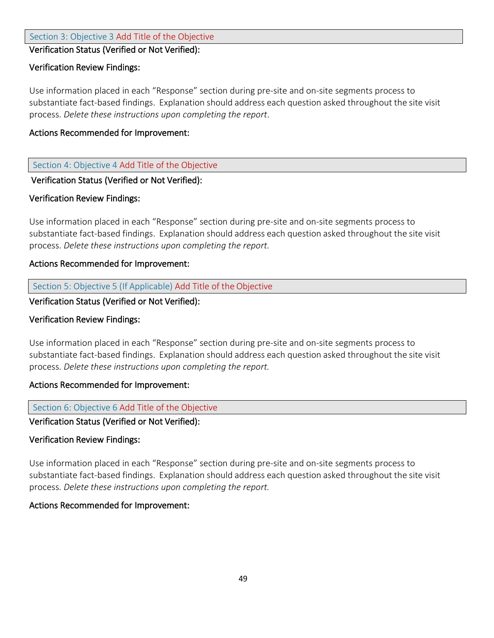#### Section 3: Objective 3 Add Title of the Objective

#### Verification Status (Verified or Not Verified):

#### Verification Review Findings:

Use information placed in each "Response" section during pre-site and on-site segments process to substantiate fact-based findings. Explanation should address each question asked throughout the site visit process. *Delete these instructions upon completing the report*.

#### Actions Recommended for Improvement:

#### Section 4: Objective 4 Add Title of the Objective

#### Verification Status (Verified or Not Verified):

#### Verification Review Findings:

Use information placed in each "Response" section during pre-site and on-site segments process to substantiate fact-based findings. Explanation should address each question asked throughout the site visit process. *Delete these instructions upon completing the report.*

#### Actions Recommended for Improvement:

#### Section 5: Objective 5 (If Applicable) Add Title of the Objective

#### Verification Status (Verified or Not Verified):

#### Verification Review Findings:

Use information placed in each "Response" section during pre-site and on-site segments process to substantiate fact-based findings. Explanation should address each question asked throughout the site visit process. *Delete these instructions upon completing the report.*

#### Actions Recommended for Improvement:

#### Section 6: Objective 6 Add Title of the Objective

#### Verification Status (Verified or Not Verified):

#### Verification Review Findings:

Use information placed in each "Response" section during pre-site and on-site segments process to substantiate fact-based findings. Explanation should address each question asked throughout the site visit process. *Delete these instructions upon completing the report.*

#### Actions Recommended for Improvement: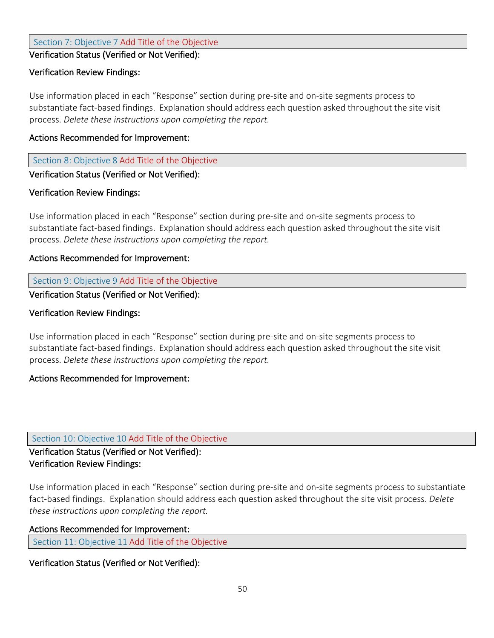Section 7: Objective 7 Add Title of the Objective

Verification Status (Verified or Not Verified):

#### Verification Review Findings:

Use information placed in each "Response" section during pre-site and on-site segments process to substantiate fact-based findings. Explanation should address each question asked throughout the site visit process. *Delete these instructions upon completing the report.*

#### Actions Recommended for Improvement:

Section 8: Objective 8 Add Title of the Objective

#### Verification Status (Verified or Not Verified):

#### Verification Review Findings:

Use information placed in each "Response" section during pre-site and on-site segments process to substantiate fact-based findings. Explanation should address each question asked throughout the site visit process. *Delete these instructions upon completing the report.*

#### Actions Recommended for Improvement:

#### Section 9: Objective 9 Add Title of the Objective

Verification Status (Verified or Not Verified):

#### Verification Review Findings:

Use information placed in each "Response" section during pre-site and on-site segments process to substantiate fact-based findings. Explanation should address each question asked throughout the site visit process. *Delete these instructions upon completing the report.*

#### Actions Recommended for Improvement:

#### Section 10: Objective 10 Add Title of the Objective

#### Verification Status (Verified or Not Verified): Verification Review Findings:

Use information placed in each "Response" section during pre-site and on-site segments process to substantiate fact-based findings. Explanation should address each question asked throughout the site visit process. *Delete these instructions upon completing the report.*

#### Actions Recommended for Improvement:

Section 11: Objective <sup>11</sup> Add Title of the Objective

#### Verification Status (Verified or Not Verified):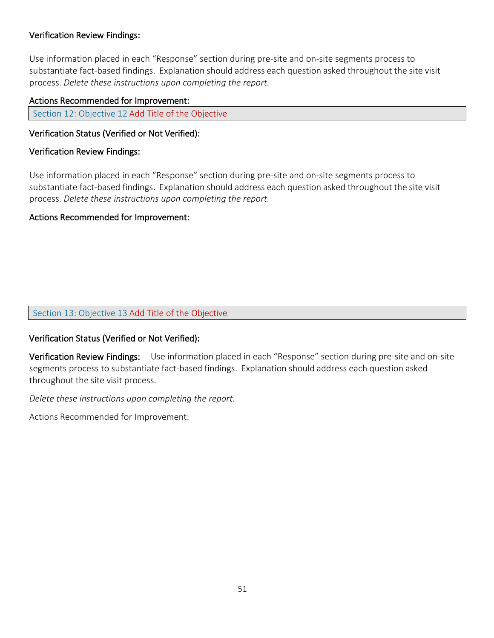#### Verification Review Findings:

Use information placed in each "Response" section during pre-site and on-site segments process to substantiate fact-based findings. Explanation should address each question asked throughout the site visit process. *Delete these instructions upon completing the report.*

#### Actions Recommended for Improvement:

Section 12: Objective <sup>12</sup> Add Title of the Objective

#### Verification Status (Verified or Not Verified):

#### Verification Review Findings:

Use information placed in each "Response" section during pre-site and on-site segments process to substantiate fact-based findings. Explanation should address each question asked throughout the site visit process. *Delete these instructions upon completing the report.*

#### Actions Recommended for Improvement:

#### Section 13: Objective 13 Add Title of the Objective

#### Verification Status (Verified or Not Verified):

Verification Review Findings: Use information placed in each "Response" section during pre-site and on-site segments process to substantiate fact-based findings. Explanation should address each question asked throughout the site visit process.

*Delete these instructions upon completing the report.*

Actions Recommended for Improvement: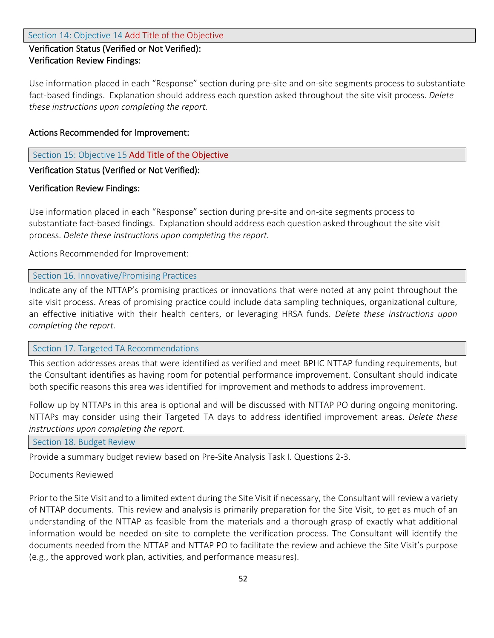#### Verification Status (Verified or Not Verified): Verification Review Findings:

Use information placed in each "Response" section during pre-site and on-site segments process to substantiate fact-based findings. Explanation should address each question asked throughout the site visit process. *Delete these instructions upon completing the report.*

#### Actions Recommended for Improvement:

Section 15: Objective 15 Add Title of the Objective

#### Verification Status (Verified or Not Verified):

#### Verification Review Findings:

Use information placed in each "Response" section during pre-site and on-site segments process to substantiate fact-based findings. Explanation should address each question asked throughout the site visit process. *Delete these instructions upon completing the report.*

Actions Recommended for Improvement:

#### Section 16. Innovative/Promising Practices

Indicate any of the NTTAP's promising practices or innovations that were noted at any point throughout the site visit process. Areas of promising practice could include data sampling techniques, organizational culture, an effective initiative with their health centers, or leveraging HRSA funds. *Delete these instructions upon completing the report.*

#### Section 17. Targeted TA Recommendations

This section addresses areas that were identified as verified and meet BPHC NTTAP funding requirements, but the Consultant identifies as having room for potential performance improvement. Consultant should indicate both specific reasons this area was identified for improvement and methods to address improvement.

Follow up by NTTAPs in this area is optional and will be discussed with NTTAP PO during ongoing monitoring. NTTAPs may consider using their Targeted TA days to address identified improvement areas. *Delete these instructions upon completing the report.*

Section 18. Budget Review

Provide a summary budget review based on Pre-Site Analysis Task I. Questions 2-3.

#### Documents Reviewed

Prior to the Site Visit and to a limited extent during the Site Visit if necessary, the Consultant will review a variety of NTTAP documents. This review and analysis is primarily preparation for the Site Visit, to get as much of an understanding of the NTTAP as feasible from the materials and a thorough grasp of exactly what additional information would be needed on-site to complete the verification process. The Consultant will identify the documents needed from the NTTAP and NTTAP PO to facilitate the review and achieve the Site Visit's purpose (e.g., the approved work plan, activities, and performance measures).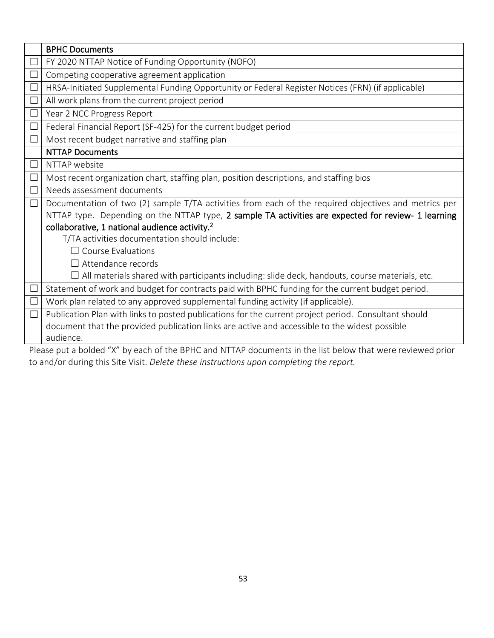|        | <b>BPHC Documents</b>                                                                                 |
|--------|-------------------------------------------------------------------------------------------------------|
|        | FY 2020 NTTAP Notice of Funding Opportunity (NOFO)                                                    |
|        | Competing cooperative agreement application                                                           |
|        | HRSA-Initiated Supplemental Funding Opportunity or Federal Register Notices (FRN) (if applicable)     |
|        | All work plans from the current project period                                                        |
|        | Year 2 NCC Progress Report                                                                            |
|        | Federal Financial Report (SF-425) for the current budget period                                       |
|        | Most recent budget narrative and staffing plan                                                        |
|        | <b>NTTAP Documents</b>                                                                                |
|        | NTTAP website                                                                                         |
|        | Most recent organization chart, staffing plan, position descriptions, and staffing bios               |
|        | Needs assessment documents                                                                            |
| $\Box$ | Documentation of two (2) sample T/TA activities from each of the required objectives and metrics per  |
|        | NTTAP type. Depending on the NTTAP type, 2 sample TA activities are expected for review- 1 learning   |
|        | collaborative, 1 national audience activity. <sup>2</sup>                                             |
|        | T/TA activities documentation should include:                                                         |
|        | $\Box$ Course Evaluations                                                                             |
|        | $\Box$ Attendance records                                                                             |
|        | $\Box$ All materials shared with participants including: slide deck, handouts, course materials, etc. |
|        | Statement of work and budget for contracts paid with BPHC funding for the current budget period.      |
|        | Work plan related to any approved supplemental funding activity (if applicable).                      |
|        | Publication Plan with links to posted publications for the current project period. Consultant should  |
|        | document that the provided publication links are active and accessible to the widest possible         |
|        | audience.                                                                                             |

Please put a bolded "X" by each of the BPHC and NTTAP documents in the list below that were reviewed prior to and/or during this Site Visit. *Delete these instructions upon completing the report.*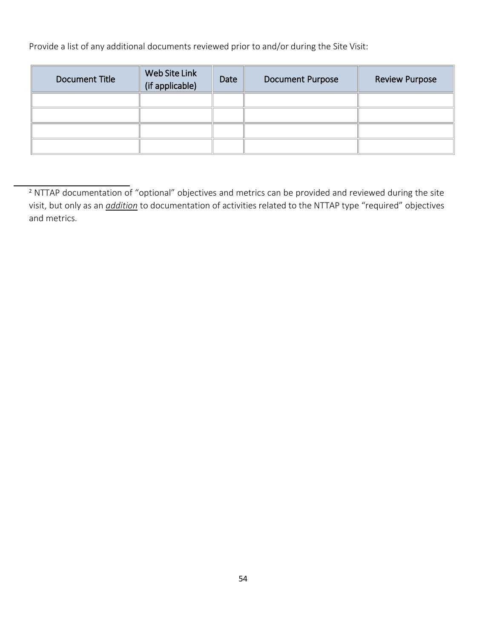Provide a list of any additional documents reviewed prior to and/or during the Site Visit:

| Document Title | Web Site Link<br>(if applicable) | Date | <b>Document Purpose</b> | <b>Review Purpose</b> |
|----------------|----------------------------------|------|-------------------------|-----------------------|
|                |                                  |      |                         |                       |
|                |                                  |      |                         |                       |
|                |                                  |      |                         |                       |
|                |                                  |      |                         |                       |

<sup>&</sup>lt;sup>2</sup> NTTAP documentation of "optional" objectives and metrics can be provided and reviewed during the site visit, but only as an *addition* to documentation of activities related to the NTTAP type "required" objectives and metrics.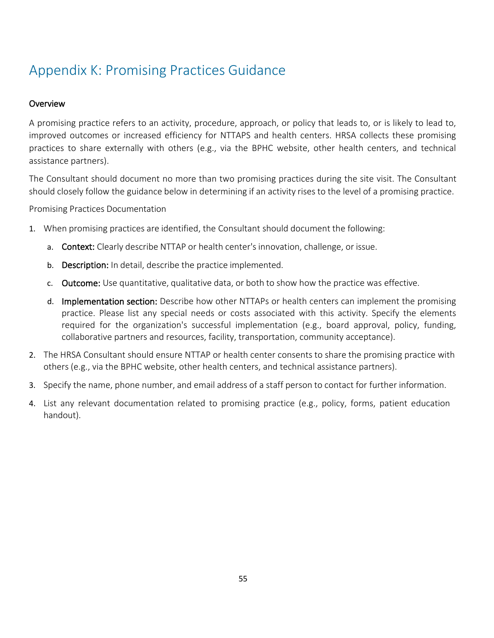## <span id="page-55-0"></span>Appendix K: Promising Practices Guidance

#### **Overview**

A promising practice refers to an activity, procedure, approach, or policy that leads to, or is likely to lead to, improved outcomes or increased efficiency for NTTAPS and health centers. HRSA collects these promising practices to share externally with others (e.g., via the BPHC website, other health centers, and technical assistance partners).

The Consultant should document no more than two promising practices during the site visit. The Consultant should closely follow the guidance below in determining if an activity rises to the level of a promising practice.

Promising Practices Documentation

- 1. When promising practices are identified, the Consultant should document the following:
	- a. Context: Clearly describe NTTAP or health center's innovation, challenge, or issue.
	- b. Description: In detail, describe the practice implemented.
	- c. Outcome: Use quantitative, qualitative data, or both to show how the practice was effective.
	- d. Implementation section: Describe how other NTTAPs or health centers can implement the promising practice. Please list any special needs or costs associated with this activity. Specify the elements required for the organization's successful implementation (e.g., board approval, policy, funding, collaborative partners and resources, facility, transportation, community acceptance).
- 2. The HRSA Consultant should ensure NTTAP or health center consents to share the promising practice with others (e.g., via the BPHC website, other health centers, and technical assistance partners).
- 3. Specify the name, phone number, and email address of a staff person to contact for further information.
- 4. List any relevant documentation related to promising practice (e.g., policy, forms, patient education handout).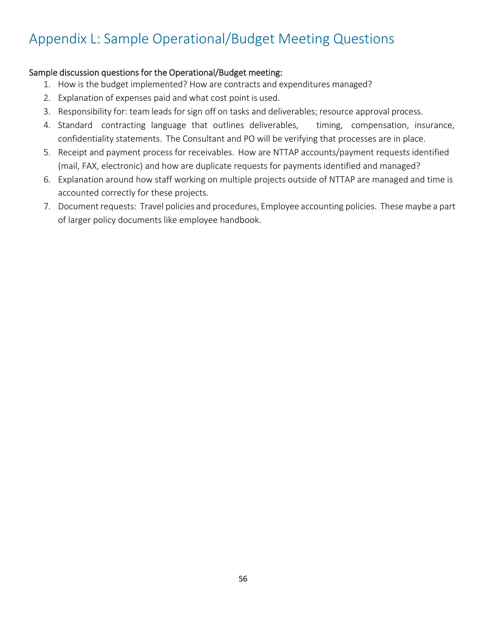## <span id="page-56-0"></span>Appendix L: Sample Operational/Budget Meeting Questions

#### Sample discussion questions for the Operational/Budget meeting:

- 1. How is the budget implemented? How are contracts and expenditures managed?
- 2. Explanation of expenses paid and what cost point is used.
- 3. Responsibility for: team leads for sign off on tasks and deliverables; resource approval process.
- 4. Standard contracting language that outlines deliverables, timing, compensation, insurance, confidentiality statements. The Consultant and PO will be verifying that processes are in place.
- 5. Receipt and payment process for receivables. How are NTTAP accounts/payment requests identified (mail, FAX, electronic) and how are duplicate requests for payments identified and managed?
- 6. Explanation around how staff working on multiple projects outside of NTTAP are managed and time is accounted correctly for these projects.
- 7. Document requests: Travel policies and procedures, Employee accounting policies. These maybe a part of larger policy documents like employee handbook.